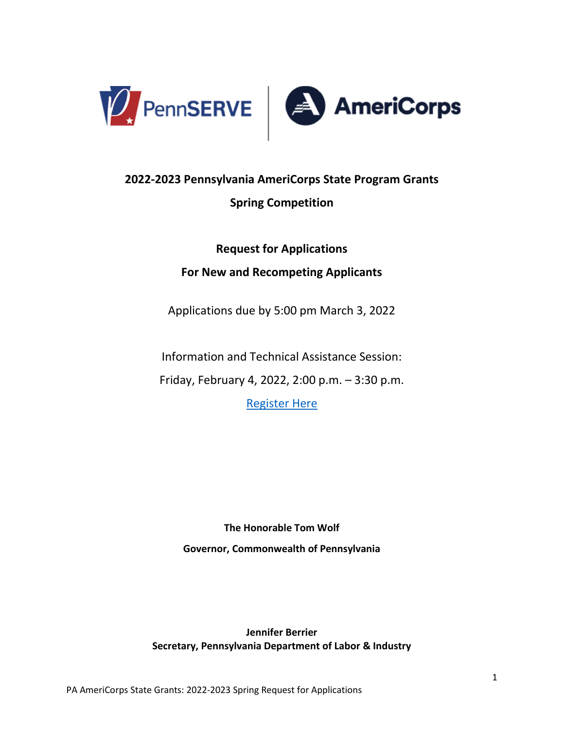

# **2022-2023 Pennsylvania AmeriCorps State Program Grants Spring Competition**

**Request for Applications**

### **For New and Recompeting Applicants**

Applications due by 5:00 pm March 3, 2022

Information and Technical Assistance Session:

Friday, February 4, 2022, 2:00 p.m. – 3:30 p.m.

[Register Here](https://www.surveymonkey.com/r/RFATechAssist)

**The Honorable Tom Wolf Governor, Commonwealth of Pennsylvania**

**Jennifer Berrier Secretary, Pennsylvania Department of Labor & Industry**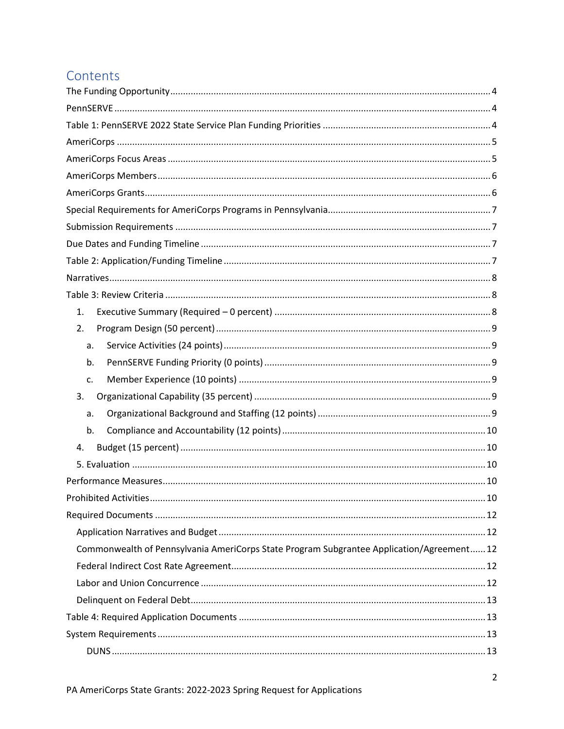# Contents

| 1.                                                                                        |
|-------------------------------------------------------------------------------------------|
| 2.                                                                                        |
| a.                                                                                        |
| b.                                                                                        |
| c.                                                                                        |
| 3.                                                                                        |
| a.                                                                                        |
| b.                                                                                        |
| 4.                                                                                        |
|                                                                                           |
|                                                                                           |
|                                                                                           |
|                                                                                           |
|                                                                                           |
| Commonwealth of Pennsylvania AmeriCorps State Program Subgrantee Application/Agreement 12 |
|                                                                                           |
|                                                                                           |
|                                                                                           |
|                                                                                           |
|                                                                                           |
|                                                                                           |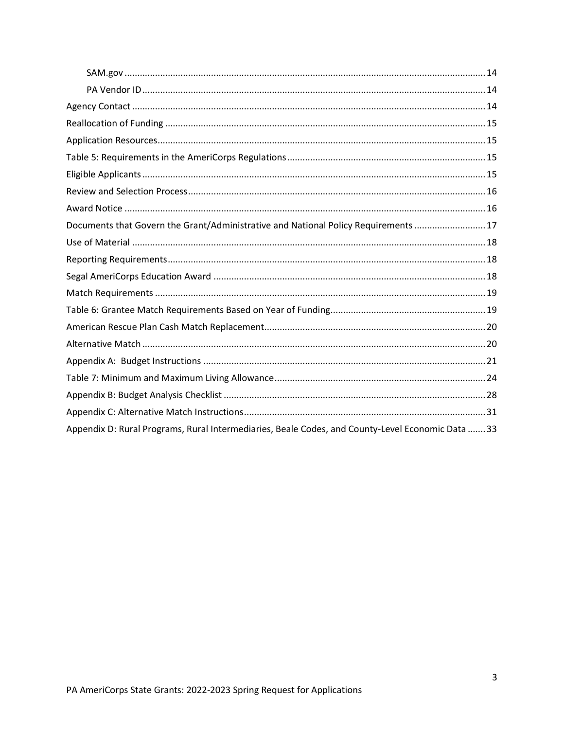| Documents that Govern the Grant/Administrative and National Policy Requirements  17               |  |
|---------------------------------------------------------------------------------------------------|--|
|                                                                                                   |  |
|                                                                                                   |  |
|                                                                                                   |  |
|                                                                                                   |  |
|                                                                                                   |  |
|                                                                                                   |  |
|                                                                                                   |  |
|                                                                                                   |  |
|                                                                                                   |  |
|                                                                                                   |  |
|                                                                                                   |  |
| Appendix D: Rural Programs, Rural Intermediaries, Beale Codes, and County-Level Economic Data  33 |  |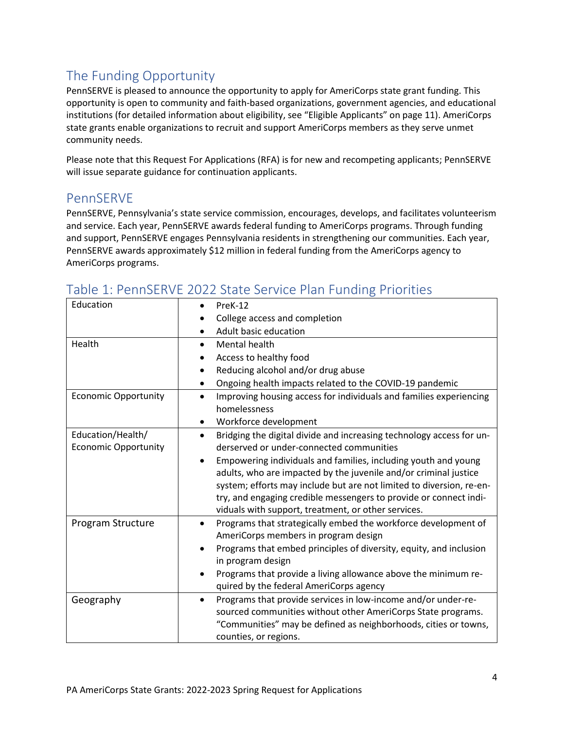# <span id="page-3-0"></span>The Funding Opportunity

PennSERVE is pleased to announce the opportunity to apply for AmeriCorps state grant funding. This opportunity is open to community and faith-based organizations, government agencies, and educational institutions (for detailed information about eligibility, see "Eligible Applicants" on page 11). AmeriCorps state grants enable organizations to recruit and support AmeriCorps members as they serve unmet community needs.

Please note that this Request For Applications (RFA) is for new and recompeting applicants; PennSERVE will issue separate guidance for continuation applicants.

### <span id="page-3-1"></span>PennSERVE

PennSERVE, Pennsylvania's state service commission, encourages, develops, and facilitates volunteerism and service. Each year, PennSERVE awards federal funding to AmeriCorps programs. Through funding and support, PennSERVE engages Pennsylvania residents in strengthening our communities. Each year, PennSERVE awards approximately \$12 million in federal funding from the AmeriCorps agency to AmeriCorps programs.

| Education                                        | PreK-12<br>$\bullet$                                                                                                                                                                                                                                                                                                                                |
|--------------------------------------------------|-----------------------------------------------------------------------------------------------------------------------------------------------------------------------------------------------------------------------------------------------------------------------------------------------------------------------------------------------------|
|                                                  | College access and completion                                                                                                                                                                                                                                                                                                                       |
|                                                  | Adult basic education                                                                                                                                                                                                                                                                                                                               |
| Health                                           | Mental health<br>$\bullet$                                                                                                                                                                                                                                                                                                                          |
|                                                  | Access to healthy food                                                                                                                                                                                                                                                                                                                              |
|                                                  | Reducing alcohol and/or drug abuse                                                                                                                                                                                                                                                                                                                  |
|                                                  | Ongoing health impacts related to the COVID-19 pandemic<br>٠                                                                                                                                                                                                                                                                                        |
| <b>Economic Opportunity</b>                      | Improving housing access for individuals and families experiencing<br>$\bullet$<br>homelessness                                                                                                                                                                                                                                                     |
|                                                  | Workforce development                                                                                                                                                                                                                                                                                                                               |
| Education/Health/<br><b>Economic Opportunity</b> | Bridging the digital divide and increasing technology access for un-<br>$\bullet$<br>derserved or under-connected communities                                                                                                                                                                                                                       |
|                                                  | Empowering individuals and families, including youth and young<br>$\bullet$<br>adults, who are impacted by the juvenile and/or criminal justice<br>system; efforts may include but are not limited to diversion, re-en-<br>try, and engaging credible messengers to provide or connect indi-<br>viduals with support, treatment, or other services. |
| Program Structure                                | Programs that strategically embed the workforce development of<br>$\bullet$<br>AmeriCorps members in program design                                                                                                                                                                                                                                 |
|                                                  | Programs that embed principles of diversity, equity, and inclusion<br>in program design                                                                                                                                                                                                                                                             |
|                                                  | Programs that provide a living allowance above the minimum re-                                                                                                                                                                                                                                                                                      |
|                                                  | quired by the federal AmeriCorps agency                                                                                                                                                                                                                                                                                                             |
| Geography                                        | Programs that provide services in low-income and/or under-re-<br>$\bullet$<br>sourced communities without other AmeriCorps State programs.<br>"Communities" may be defined as neighborhoods, cities or towns,<br>counties, or regions.                                                                                                              |

# <span id="page-3-2"></span>Table 1: PennSERVE 2022 State Service Plan Funding Priorities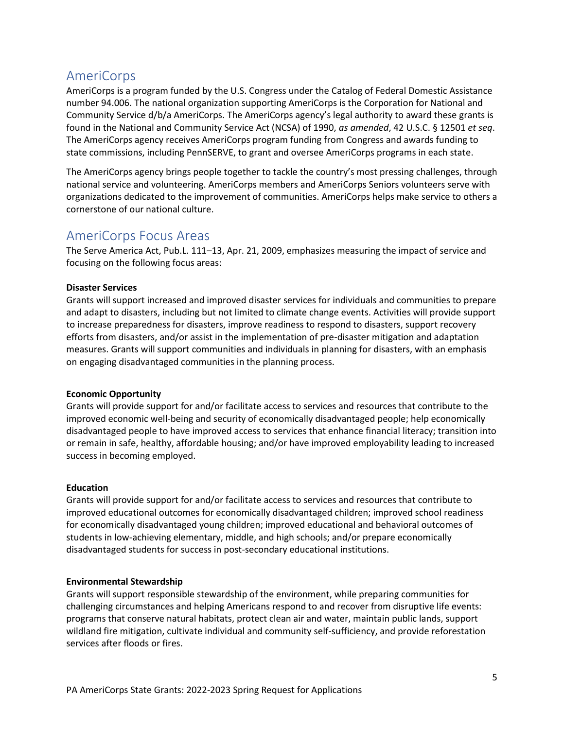### <span id="page-4-0"></span>AmeriCorps

AmeriCorps is a program funded by the U.S. Congress under the Catalog of Federal Domestic Assistance number 94.006. The national organization supporting AmeriCorps is the Corporation for National and Community Service d/b/a AmeriCorps. The AmeriCorps agency's legal authority to award these grants is found in the National and Community Service Act (NCSA) of 1990, *as amended*, 42 U.S.C. § 12501 *et seq*. The AmeriCorps agency receives AmeriCorps program funding from Congress and awards funding to state commissions, including PennSERVE, to grant and oversee AmeriCorps programs in each state.

The AmeriCorps agency brings people together to tackle the country's most pressing challenges, through national service and volunteering. AmeriCorps members and AmeriCorps Seniors volunteers serve with organizations dedicated to the improvement of communities. AmeriCorps helps make service to others a cornerstone of our national culture.

### <span id="page-4-1"></span>AmeriCorps Focus Areas

The Serve America Act, Pub.L. 111–13, Apr. 21, 2009, emphasizes measuring the impact of service and focusing on the following focus areas:

### **Disaster Services**

Grants will support increased and improved disaster services for individuals and communities to prepare and adapt to disasters, including but not limited to climate change events. Activities will provide support to increase preparedness for disasters, improve readiness to respond to disasters, support recovery efforts from disasters, and/or assist in the implementation of pre-disaster mitigation and adaptation measures. Grants will support communities and individuals in planning for disasters, with an emphasis on engaging disadvantaged communities in the planning process.

#### **Economic Opportunity**

Grants will provide support for and/or facilitate access to services and resources that contribute to the improved economic well-being and security of economically disadvantaged people; help economically disadvantaged people to have improved access to services that enhance financial literacy; transition into or remain in safe, healthy, affordable housing; and/or have improved employability leading to increased success in becoming employed.

#### **Education**

Grants will provide support for and/or facilitate access to services and resources that contribute to improved educational outcomes for economically disadvantaged children; improved school readiness for economically disadvantaged young children; improved educational and behavioral outcomes of students in low-achieving elementary, middle, and high schools; and/or prepare economically disadvantaged students for success in post-secondary educational institutions.

#### **Environmental Stewardship**

Grants will support responsible stewardship of the environment, while preparing communities for challenging circumstances and helping Americans respond to and recover from disruptive life events: programs that conserve natural habitats, protect clean air and water, maintain public lands, support wildland fire mitigation, cultivate individual and community self-sufficiency, and provide reforestation services after floods or fires.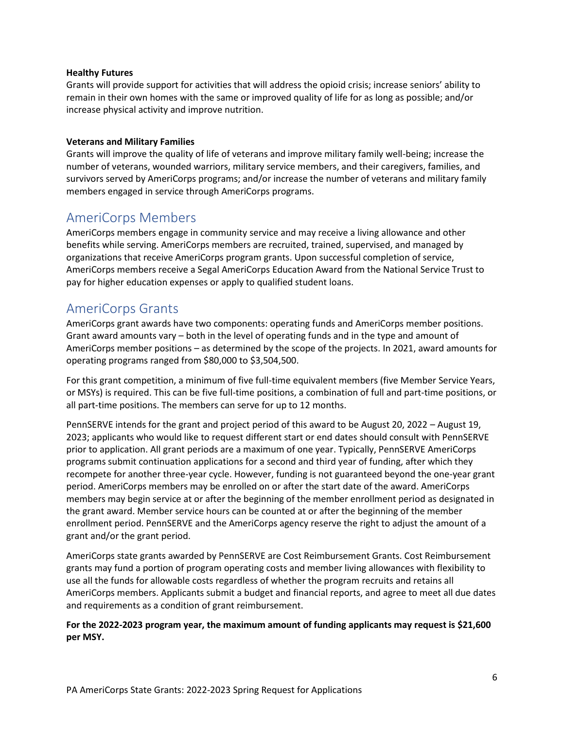#### **Healthy Futures**

Grants will provide support for activities that will address the opioid crisis; increase seniors' ability to remain in their own homes with the same or improved quality of life for as long as possible; and/or increase physical activity and improve nutrition.

#### **Veterans and Military Families**

Grants will improve the quality of life of veterans and improve military family well-being; increase the number of veterans, wounded warriors, military service members, and their caregivers, families, and survivors served by AmeriCorps programs; and/or increase the number of veterans and military family members engaged in service through AmeriCorps programs.

### <span id="page-5-0"></span>AmeriCorps Members

AmeriCorps members engage in community service and may receive a living allowance and other benefits while serving. AmeriCorps members are recruited, trained, supervised, and managed by organizations that receive AmeriCorps program grants. Upon successful completion of service, AmeriCorps members receive a Segal AmeriCorps Education Award from the National Service Trust to pay for higher education expenses or apply to qualified student loans.

### <span id="page-5-1"></span>AmeriCorps Grants

AmeriCorps grant awards have two components: operating funds and AmeriCorps member positions. Grant award amounts vary – both in the level of operating funds and in the type and amount of AmeriCorps member positions – as determined by the scope of the projects. In 2021, award amounts for operating programs ranged from \$80,000 to \$3,504,500.

For this grant competition, a minimum of five full-time equivalent members (five Member Service Years, or MSYs) is required. This can be five full-time positions, a combination of full and part-time positions, or all part-time positions. The members can serve for up to 12 months.

PennSERVE intends for the grant and project period of this award to be August 20, 2022 – August 19, 2023; applicants who would like to request different start or end dates should consult with PennSERVE prior to application. All grant periods are a maximum of one year. Typically, PennSERVE AmeriCorps programs submit continuation applications for a second and third year of funding, after which they recompete for another three-year cycle. However, funding is not guaranteed beyond the one-year grant period. AmeriCorps members may be enrolled on or after the start date of the award. AmeriCorps members may begin service at or after the beginning of the member enrollment period as designated in the grant award. Member service hours can be counted at or after the beginning of the member enrollment period. PennSERVE and the AmeriCorps agency reserve the right to adjust the amount of a grant and/or the grant period.

AmeriCorps state grants awarded by PennSERVE are Cost Reimbursement Grants. Cost Reimbursement grants may fund a portion of program operating costs and member living allowances with flexibility to use all the funds for allowable costs regardless of whether the program recruits and retains all AmeriCorps members. Applicants submit a budget and financial reports, and agree to meet all due dates and requirements as a condition of grant reimbursement.

### **For the 2022-2023 program year, the maximum amount of funding applicants may request is \$21,600 per MSY.**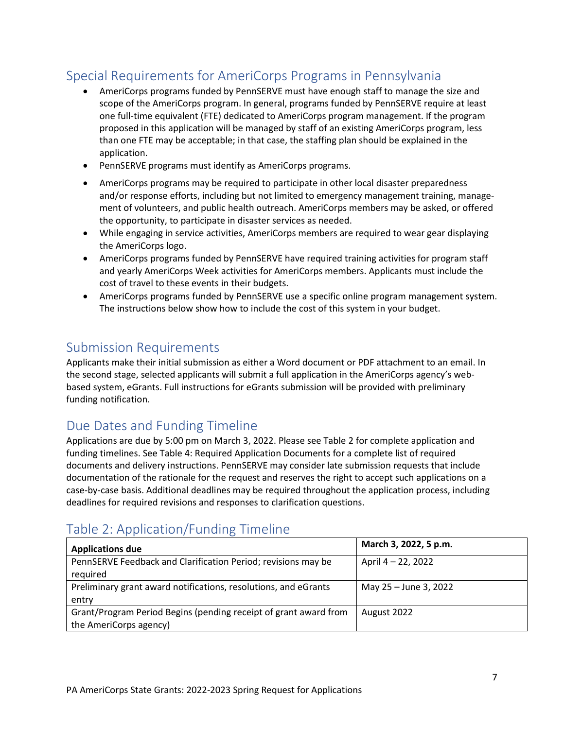# <span id="page-6-0"></span>Special Requirements for AmeriCorps Programs in Pennsylvania

- AmeriCorps programs funded by PennSERVE must have enough staff to manage the size and scope of the AmeriCorps program. In general, programs funded by PennSERVE require at least one full-time equivalent (FTE) dedicated to AmeriCorps program management. If the program proposed in this application will be managed by staff of an existing AmeriCorps program, less than one FTE may be acceptable; in that case, the staffing plan should be explained in the application.
- PennSERVE programs must identify as AmeriCorps programs.
- AmeriCorps programs may be required to participate in other local disaster preparedness and/or response efforts, including but not limited to emergency management training, management of volunteers, and public health outreach. AmeriCorps members may be asked, or offered the opportunity, to participate in disaster services as needed.
- While engaging in service activities, AmeriCorps members are required to wear gear displaying the AmeriCorps logo.
- AmeriCorps programs funded by PennSERVE have required training activities for program staff and yearly AmeriCorps Week activities for AmeriCorps members. Applicants must include the cost of travel to these events in their budgets.
- AmeriCorps programs funded by PennSERVE use a specific online program management system. The instructions below show how to include the cost of this system in your budget.

### <span id="page-6-1"></span>Submission Requirements

Applicants make their initial submission as either a Word document or PDF attachment to an email. In the second stage, selected applicants will submit a full application in the AmeriCorps agency's webbased system, eGrants. Full instructions for eGrants submission will be provided with preliminary funding notification.

### <span id="page-6-2"></span>Due Dates and Funding Timeline

Applications are due by 5:00 pm on March 3, 2022. Please see Table 2 for complete application and funding timelines. See Table 4: Required Application Documents for a complete list of required documents and delivery instructions. PennSERVE may consider late submission requests that include documentation of the rationale for the request and reserves the right to accept such applications on a case-by-case basis. Additional deadlines may be required throughout the application process, including deadlines for required revisions and responses to clarification questions.

# <span id="page-6-3"></span>Table 2: Application/Funding Timeline

| <b>Applications due</b>                                          | March 3, 2022, 5 p.m. |
|------------------------------------------------------------------|-----------------------|
| PennSERVE Feedback and Clarification Period; revisions may be    | April 4 – 22, 2022    |
| required                                                         |                       |
| Preliminary grant award notifications, resolutions, and eGrants  | May 25 - June 3, 2022 |
| entry                                                            |                       |
| Grant/Program Period Begins (pending receipt of grant award from | August 2022           |
| the AmeriCorps agency)                                           |                       |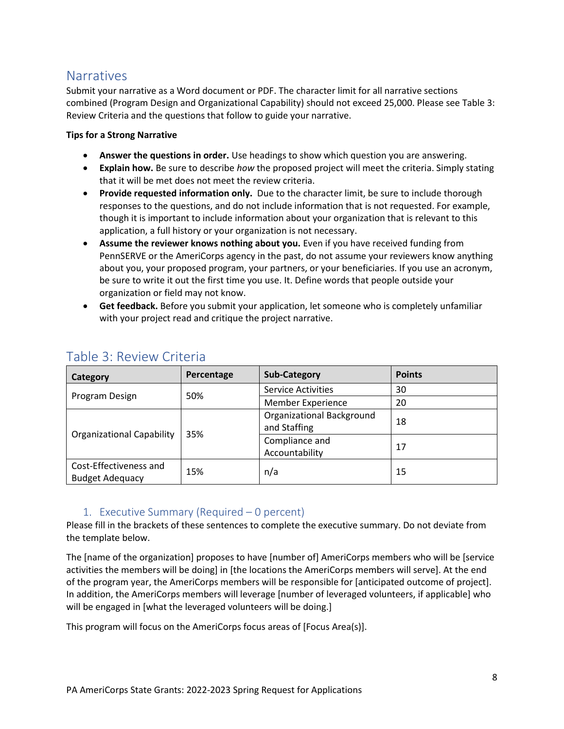### <span id="page-7-0"></span>**Narratives**

Submit your narrative as a Word document or PDF. The character limit for all narrative sections combined (Program Design and Organizational Capability) should not exceed 25,000. Please see Table 3: Review Criteria and the questions that follow to guide your narrative.

### **Tips for a Strong Narrative**

- **Answer the questions in order.** Use headings to show which question you are answering.
- **Explain how.** Be sure to describe *how* the proposed project will meet the criteria. Simply stating that it will be met does not meet the review criteria.
- **Provide requested information only.** Due to the character limit, be sure to include thorough responses to the questions, and do not include information that is not requested. For example, though it is important to include information about your organization that is relevant to this application, a full history or your organization is not necessary.
- **Assume the reviewer knows nothing about you.** Even if you have received funding from PennSERVE or the AmeriCorps agency in the past, do not assume your reviewers know anything about you, your proposed program, your partners, or your beneficiaries. If you use an acronym, be sure to write it out the first time you use. It. Define words that people outside your organization or field may not know.
- **Get feedback.** Before you submit your application, let someone who is completely unfamiliar with your project read and critique the project narrative.

| Category                                         | Percentage | <b>Sub-Category</b>                              | <b>Points</b> |
|--------------------------------------------------|------------|--------------------------------------------------|---------------|
|                                                  | 50%        | <b>Service Activities</b>                        | 30            |
| Program Design                                   |            | Member Experience                                | 20            |
| <b>Organizational Capability</b>                 | 35%        | <b>Organizational Background</b><br>and Staffing | 18            |
|                                                  |            | Compliance and<br>Accountability                 | 17            |
| Cost-Effectiveness and<br><b>Budget Adequacy</b> | 15%        | n/a                                              | 15            |

### <span id="page-7-1"></span>Table 3: Review Criteria

### 1. Executive Summary (Required – 0 percent)

<span id="page-7-2"></span>Please fill in the brackets of these sentences to complete the executive summary. Do not deviate from the template below.

The [name of the organization] proposes to have [number of] AmeriCorps members who will be [service activities the members will be doing] in [the locations the AmeriCorps members will serve]. At the end of the program year, the AmeriCorps members will be responsible for [anticipated outcome of project]. In addition, the AmeriCorps members will leverage [number of leveraged volunteers, if applicable] who will be engaged in [what the leveraged volunteers will be doing.]

This program will focus on the AmeriCorps focus areas of [Focus Area(s)].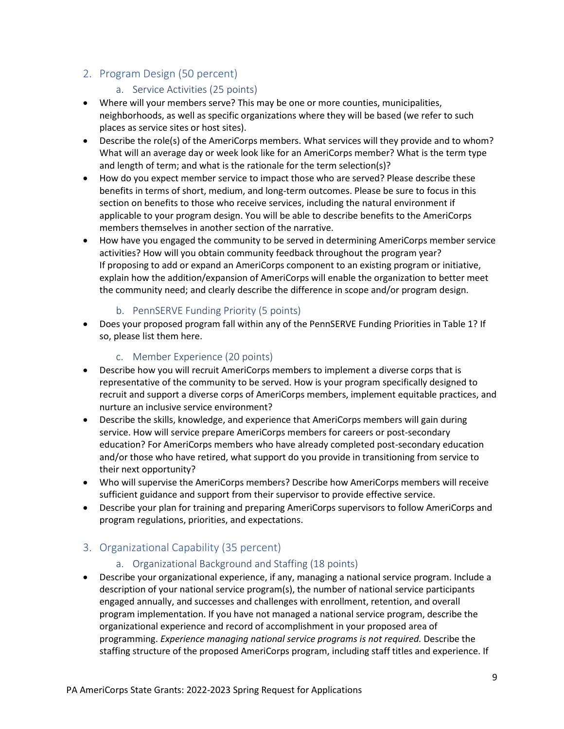### <span id="page-8-1"></span><span id="page-8-0"></span>2. Program Design (50 percent)

### a. Service Activities (25 points)

- Where will your members serve? This may be one or more counties, municipalities, neighborhoods, as well as specific organizations where they will be based (we refer to such places as service sites or host sites).
- Describe the role(s) of the AmeriCorps members. What services will they provide and to whom? What will an average day or week look like for an AmeriCorps member? What is the term type and length of term; and what is the rationale for the term selection(s)?
- How do you expect member service to impact those who are served? Please describe these benefits in terms of short, medium, and long-term outcomes. Please be sure to focus in this section on benefits to those who receive services, including the natural environment if applicable to your program design. You will be able to describe benefits to the AmeriCorps members themselves in another section of the narrative.
- How have you engaged the community to be served in determining AmeriCorps member service activities? How will you obtain community feedback throughout the program year? If proposing to add or expand an AmeriCorps component to an existing program or initiative, explain how the addition/expansion of AmeriCorps will enable the organization to better meet the community need; and clearly describe the difference in scope and/or program design.

### b. PennSERVE Funding Priority (5 points)

<span id="page-8-2"></span>• Does your proposed program fall within any of the PennSERVE Funding Priorities in Table 1? If so, please list them here.

### c. Member Experience (20 points)

- <span id="page-8-3"></span>• Describe how you will recruit AmeriCorps members to implement a diverse corps that is representative of the community to be served. How is your program specifically designed to recruit and support a diverse corps of AmeriCorps members, implement equitable practices, and nurture an inclusive service environment?
- Describe the skills, knowledge, and experience that AmeriCorps members will gain during service. How will service prepare AmeriCorps members for careers or post-secondary education? For AmeriCorps members who have already completed post-secondary education and/or those who have retired, what support do you provide in transitioning from service to their next opportunity?
- Who will supervise the AmeriCorps members? Describe how AmeriCorps members will receive sufficient guidance and support from their supervisor to provide effective service.
- Describe your plan for training and preparing AmeriCorps supervisors to follow AmeriCorps and program regulations, priorities, and expectations.

### <span id="page-8-5"></span><span id="page-8-4"></span>3. Organizational Capability (35 percent)

### a. Organizational Background and Staffing (18 points)

• Describe your organizational experience, if any, managing a national service program. Include a description of your national service program(s), the number of national service participants engaged annually, and successes and challenges with enrollment, retention, and overall program implementation. If you have not managed a national service program, describe the organizational experience and record of accomplishment in your proposed area of programming. *Experience managing national service programs is not required.* Describe the staffing structure of the proposed AmeriCorps program, including staff titles and experience. If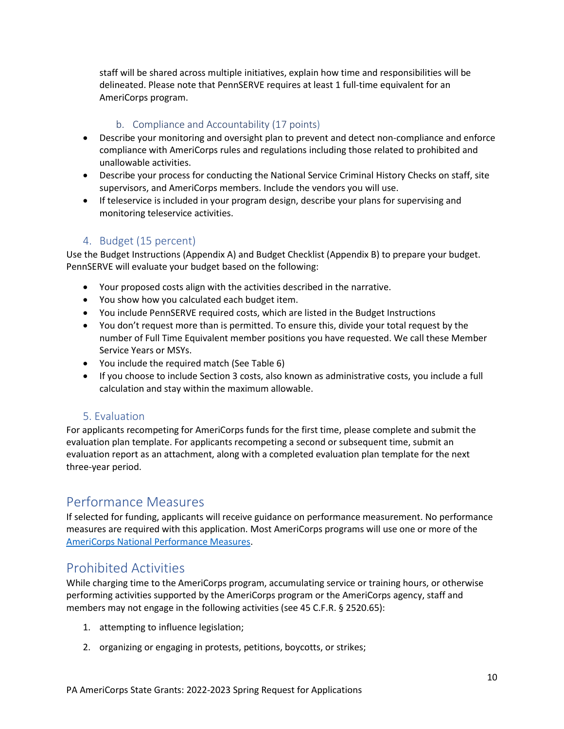staff will be shared across multiple initiatives, explain how time and responsibilities will be delineated. Please note that PennSERVE requires at least 1 full-time equivalent for an AmeriCorps program.

### b. Compliance and Accountability (17 points)

- <span id="page-9-0"></span>• Describe your monitoring and oversight plan to prevent and detect non-compliance and enforce compliance with AmeriCorps rules and regulations including those related to prohibited and unallowable activities.
- Describe your process for conducting the National Service Criminal History Checks on staff, site supervisors, and AmeriCorps members. Include the vendors you will use.
- If teleservice is included in your program design, describe your plans for supervising and monitoring teleservice activities.

### 4. Budget (15 percent)

<span id="page-9-1"></span>Use the Budget Instructions (Appendix A) and Budget Checklist (Appendix B) to prepare your budget. PennSERVE will evaluate your budget based on the following:

- Your proposed costs align with the activities described in the narrative.
- You show how you calculated each budget item.
- You include PennSERVE required costs, which are listed in the Budget Instructions
- You don't request more than is permitted. To ensure this, divide your total request by the number of Full Time Equivalent member positions you have requested. We call these Member Service Years or MSYs.
- You include the required match (See Table 6)
- If you choose to include Section 3 costs, also known as administrative costs, you include a full calculation and stay within the maximum allowable.

### 5. Evaluation

<span id="page-9-2"></span>For applicants recompeting for AmeriCorps funds for the first time, please complete and submit the evaluation plan template. For applicants recompeting a second or subsequent time, submit an evaluation report as an attachment, along with a completed evaluation plan template for the next three-year period.

### <span id="page-9-3"></span>Performance Measures

If selected for funding, applicants will receive guidance on performance measurement. No performance measures are required with this application. Most AmeriCorps programs will use one or more of the [AmeriCorps National Performance Measures.](https://americorps.gov/sites/default/files/document/ASN_FY2022_PerformanceMeasuresInstructions_FINAL.508.pdf)

### <span id="page-9-4"></span>Prohibited Activities

While charging time to the AmeriCorps program, accumulating service or training hours, or otherwise performing activities supported by the AmeriCorps program or the AmeriCorps agency, staff and members may not engage in the following activities (see 45 C.F.R. § 2520.65):

- 1. attempting to influence legislation;
- 2. organizing or engaging in protests, petitions, boycotts, or strikes;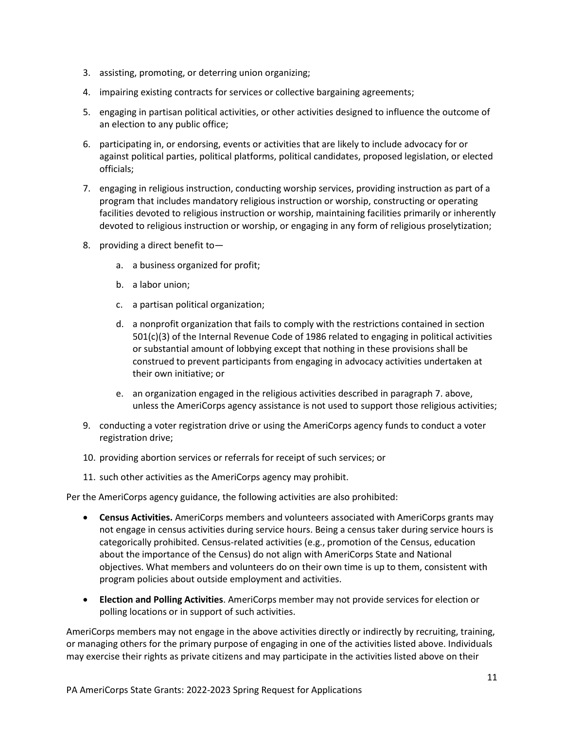- 3. assisting, promoting, or deterring union organizing;
- 4. impairing existing contracts for services or collective bargaining agreements;
- 5. engaging in partisan political activities, or other activities designed to influence the outcome of an election to any public office;
- 6. participating in, or endorsing, events or activities that are likely to include advocacy for or against political parties, political platforms, political candidates, proposed legislation, or elected officials;
- 7. engaging in religious instruction, conducting worship services, providing instruction as part of a program that includes mandatory religious instruction or worship, constructing or operating facilities devoted to religious instruction or worship, maintaining facilities primarily or inherently devoted to religious instruction or worship, or engaging in any form of religious proselytization;
- 8. providing a direct benefit to
	- a. a business organized for profit;
	- b. a labor union;
	- c. a partisan political organization;
	- d. a nonprofit organization that fails to comply with the restrictions contained in section 501(c)(3) of the Internal Revenue Code of 1986 related to engaging in political activities or substantial amount of lobbying except that nothing in these provisions shall be construed to prevent participants from engaging in advocacy activities undertaken at their own initiative; or
	- e. an organization engaged in the religious activities described in paragraph 7. above, unless the AmeriCorps agency assistance is not used to support those religious activities;
- 9. conducting a voter registration drive or using the AmeriCorps agency funds to conduct a voter registration drive;
- 10. providing abortion services or referrals for receipt of such services; or
- 11. such other activities as the AmeriCorps agency may prohibit.

Per the AmeriCorps agency guidance, the following activities are also prohibited:

- **Census Activities.** AmeriCorps members and volunteers associated with AmeriCorps grants may not engage in census activities during service hours. Being a census taker during service hours is categorically prohibited. Census-related activities (e.g., promotion of the Census, education about the importance of the Census) do not align with AmeriCorps State and National objectives. What members and volunteers do on their own time is up to them, consistent with program policies about outside employment and activities.
- **Election and Polling Activities**. AmeriCorps member may not provide services for election or polling locations or in support of such activities.

AmeriCorps members may not engage in the above activities directly or indirectly by recruiting, training, or managing others for the primary purpose of engaging in one of the activities listed above. Individuals may exercise their rights as private citizens and may participate in the activities listed above on their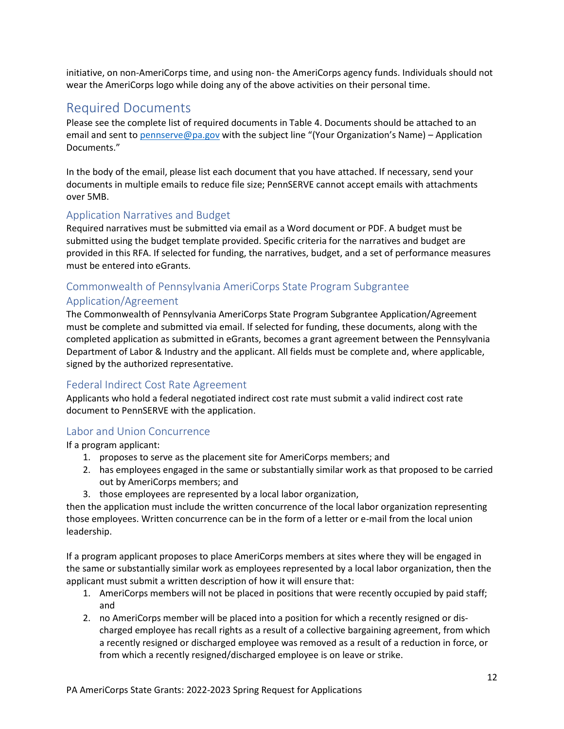initiative, on non-AmeriCorps time, and using non- the AmeriCorps agency funds. Individuals should not wear the AmeriCorps logo while doing any of the above activities on their personal time.

### <span id="page-11-0"></span>Required Documents

Please see the complete list of required documents in Table 4. Documents should be attached to an email and sent to [pennserve@pa.gov](mailto:pennserve@pa.gov) with the subject line "(Your Organization's Name) – Application Documents."

In the body of the email, please list each document that you have attached. If necessary, send your documents in multiple emails to reduce file size; PennSERVE cannot accept emails with attachments over 5MB.

### <span id="page-11-1"></span>Application Narratives and Budget

Required narratives must be submitted via email as a Word document or PDF. A budget must be submitted using the budget template provided. Specific criteria for the narratives and budget are provided in this RFA. If selected for funding, the narratives, budget, and a set of performance measures must be entered into eGrants.

# <span id="page-11-2"></span>Commonwealth of Pennsylvania AmeriCorps State Program Subgrantee

### Application/Agreement

The Commonwealth of Pennsylvania AmeriCorps State Program Subgrantee Application/Agreement must be complete and submitted via email. If selected for funding, these documents, along with the completed application as submitted in eGrants, becomes a grant agreement between the Pennsylvania Department of Labor & Industry and the applicant. All fields must be complete and, where applicable, signed by the authorized representative.

### <span id="page-11-3"></span>Federal Indirect Cost Rate Agreement

Applicants who hold a federal negotiated indirect cost rate must submit a valid indirect cost rate document to PennSERVE with the application.

### <span id="page-11-4"></span>Labor and Union Concurrence

If a program applicant:

- 1. proposes to serve as the placement site for AmeriCorps members; and
- 2. has employees engaged in the same or substantially similar work as that proposed to be carried out by AmeriCorps members; and
- 3. those employees are represented by a local labor organization,

then the application must include the written concurrence of the local labor organization representing those employees. Written concurrence can be in the form of a letter or e-mail from the local union leadership.

If a program applicant proposes to place AmeriCorps members at sites where they will be engaged in the same or substantially similar work as employees represented by a local labor organization, then the applicant must submit a written description of how it will ensure that:

- 1. AmeriCorps members will not be placed in positions that were recently occupied by paid staff; and
- 2. no AmeriCorps member will be placed into a position for which a recently resigned or discharged employee has recall rights as a result of a collective bargaining agreement, from which a recently resigned or discharged employee was removed as a result of a reduction in force, or from which a recently resigned/discharged employee is on leave or strike.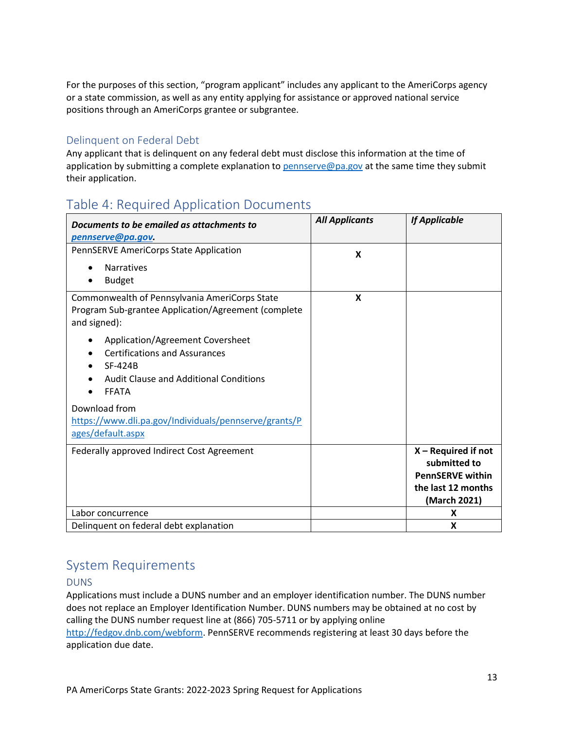For the purposes of this section, "program applicant" includes any applicant to the AmeriCorps agency or a state commission, as well as any entity applying for assistance or approved national service positions through an AmeriCorps grantee or subgrantee.

### <span id="page-12-0"></span>Delinquent on Federal Debt

Any applicant that is delinquent on any federal debt must disclose this information at the time of application by submitting a complete explanation to [pennserve@pa.gov](mailto:pennserve@pa.gov) at the same time they submit their application.

# <span id="page-12-1"></span>Table 4: Required Application Documents

| Documents to be emailed as attachments to                                                                            | <b>All Applicants</b> | <b>If Applicable</b>               |
|----------------------------------------------------------------------------------------------------------------------|-----------------------|------------------------------------|
| pennserve@pa.gov.                                                                                                    |                       |                                    |
| PennSERVE AmeriCorps State Application                                                                               | X                     |                                    |
| <b>Narratives</b>                                                                                                    |                       |                                    |
| <b>Budget</b>                                                                                                        |                       |                                    |
| Commonwealth of Pennsylvania AmeriCorps State<br>Program Sub-grantee Application/Agreement (complete<br>and signed): | X                     |                                    |
| Application/Agreement Coversheet<br><b>Certifications and Assurances</b><br><b>SF-424B</b>                           |                       |                                    |
| Audit Clause and Additional Conditions<br><b>FFATA</b>                                                               |                       |                                    |
| Download from                                                                                                        |                       |                                    |
| https://www.dli.pa.gov/Individuals/pennserve/grants/P                                                                |                       |                                    |
| ages/default.aspx                                                                                                    |                       |                                    |
| Federally approved Indirect Cost Agreement                                                                           |                       | $X - Required$ if not              |
|                                                                                                                      |                       | submitted to                       |
|                                                                                                                      |                       | <b>PennSERVE within</b>            |
|                                                                                                                      |                       | the last 12 months<br>(March 2021) |
| Labor concurrence                                                                                                    |                       | X                                  |
| Delinquent on federal debt explanation                                                                               |                       | X                                  |

# <span id="page-12-2"></span>System Requirements

### <span id="page-12-3"></span>DUNS

Applications must include a DUNS number and an employer identification number. The DUNS number does not replace an Employer Identification Number. DUNS numbers may be obtained at no cost by calling the DUNS number request line at (866) 705-5711 or by applying online [http://fedgov.dnb.com/webform.](http://fedgov.dnb.com/webform) PennSERVE recommends registering at least 30 days before the application due date.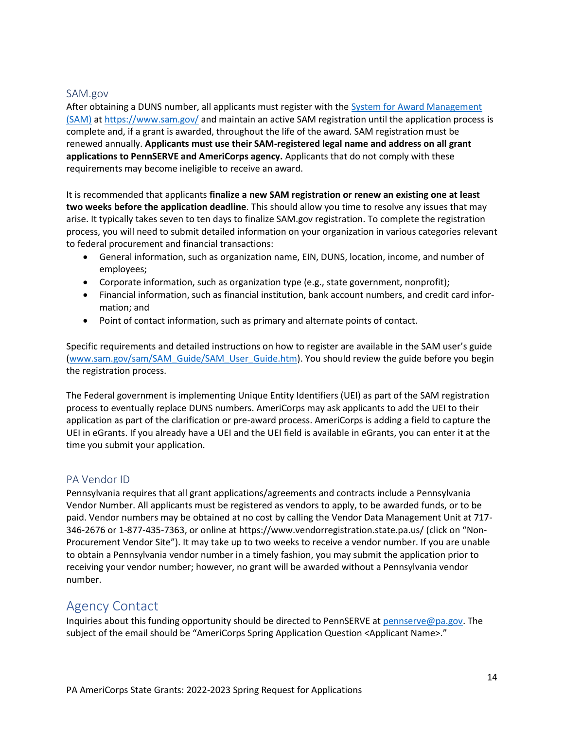### <span id="page-13-0"></span>SAM.gov

After obtaining a DUNS number, all applicants must register with the [System for Award Management](http://www.sam.gov/)  [\(SAM\)](http://www.sam.gov/) at<https://www.sam.gov/> and maintain an active SAM registration until the application process is complete and, if a grant is awarded, throughout the life of the award. SAM registration must be renewed annually. **Applicants must use their SAM-registered legal name and address on all grant applications to PennSERVE and AmeriCorps agency.** Applicants that do not comply with these requirements may become ineligible to receive an award.

It is recommended that applicants **finalize a new SAM registration or renew an existing one at least two weeks before the application deadline**. This should allow you time to resolve any issues that may arise. It typically takes seven to ten days to finalize SAM.gov registration. To complete the registration process, you will need to submit detailed information on your organization in various categories relevant to federal procurement and financial transactions:

- General information, such as organization name, EIN, DUNS, location, income, and number of employees;
- Corporate information, such as organization type (e.g., state government, nonprofit);
- Financial information, such as financial institution, bank account numbers, and credit card information; and
- Point of contact information, such as primary and alternate points of contact.

Specific requirements and detailed instructions on how to register are available in the SAM user's guide [\(www.sam.gov/sam/SAM\\_Guide/SAM\\_User\\_Guide.htm\)](http://www.sam.gov/sam/SAM_Guide/SAM_User_Guide.htm). You should review the guide before you begin the registration process.

The Federal government is implementing Unique Entity Identifiers (UEI) as part of the SAM registration process to eventually replace DUNS numbers. AmeriCorps may ask applicants to add the UEI to their application as part of the clarification or pre-award process. AmeriCorps is adding a field to capture the UEI in eGrants. If you already have a UEI and the UEI field is available in eGrants, you can enter it at the time you submit your application.

### <span id="page-13-1"></span>PA Vendor ID

Pennsylvania requires that all grant applications/agreements and contracts include a Pennsylvania Vendor Number. All applicants must be registered as vendors to apply, to be awarded funds, or to be paid. Vendor numbers may be obtained at no cost by calling the Vendor Data Management Unit at 717- 346-2676 or 1-877-435-7363, or online at https://www.vendorregistration.state.pa.us/ (click on "Non-Procurement Vendor Site"). It may take up to two weeks to receive a vendor number. If you are unable to obtain a Pennsylvania vendor number in a timely fashion, you may submit the application prior to receiving your vendor number; however, no grant will be awarded without a Pennsylvania vendor number.

### <span id="page-13-2"></span>Agency Contact

Inquiries about this funding opportunity should be directed to PennSERVE at [pennserve@pa.gov.](mailto:pennserve@pa.gov) The subject of the email should be "AmeriCorps Spring Application Question <Applicant Name>."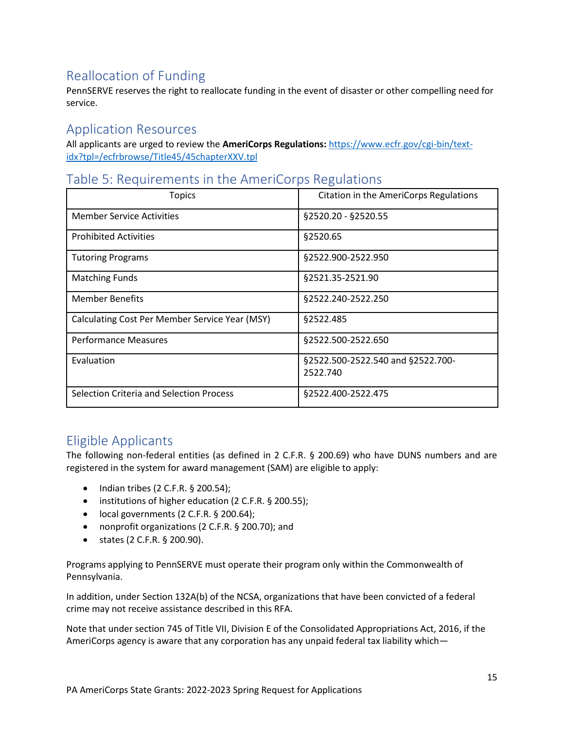# <span id="page-14-0"></span>Reallocation of Funding

PennSERVE reserves the right to reallocate funding in the event of disaster or other compelling need for service.

### <span id="page-14-1"></span>Application Resources

All applicants are urged to review the **AmeriCorps Regulations:** [https://www.ecfr.gov/cgi-bin/text](https://www.ecfr.gov/cgi-bin/text-idx?tpl=/ecfrbrowse/Title45/45chapterXXV.tpl)[idx?tpl=/ecfrbrowse/Title45/45chapterXXV.tpl](https://www.ecfr.gov/cgi-bin/text-idx?tpl=/ecfrbrowse/Title45/45chapterXXV.tpl)

### <span id="page-14-2"></span>Table 5: Requirements in the AmeriCorps Regulations

| <b>Topics</b>                                  | <b>Citation in the AmeriCorps Regulations</b> |
|------------------------------------------------|-----------------------------------------------|
| <b>Member Service Activities</b>               | §2520.20 - §2520.55                           |
| <b>Prohibited Activities</b>                   | §2520.65                                      |
| <b>Tutoring Programs</b>                       | §2522.900-2522.950                            |
| <b>Matching Funds</b>                          | §2521.35-2521.90                              |
| <b>Member Benefits</b>                         | §2522.240-2522.250                            |
| Calculating Cost Per Member Service Year (MSY) | §2522.485                                     |
| <b>Performance Measures</b>                    | §2522.500-2522.650                            |
| Evaluation                                     | §2522.500-2522.540 and §2522.700-<br>2522.740 |
| Selection Criteria and Selection Process       | §2522.400-2522.475                            |

### <span id="page-14-3"></span>Eligible Applicants

The following non-federal entities (as defined in 2 C.F.R. § 200.69) who have DUNS numbers and are registered in the system for award management (SAM) are eligible to apply:

- Indian tribes (2 C.F.R. § 200.54);
- institutions of higher education (2 C.F.R. § 200.55);
- local governments (2 C.F.R. § 200.64);
- nonprofit organizations (2 C.F.R. § 200.70); and
- states (2 C.F.R. § 200.90).

Programs applying to PennSERVE must operate their program only within the Commonwealth of Pennsylvania.

In addition, under Section 132A(b) of the NCSA, organizations that have been convicted of a federal crime may not receive assistance described in this RFA.

Note that under section 745 of Title VII, Division E of the Consolidated Appropriations Act, 2016, if the AmeriCorps agency is aware that any corporation has any unpaid federal tax liability which—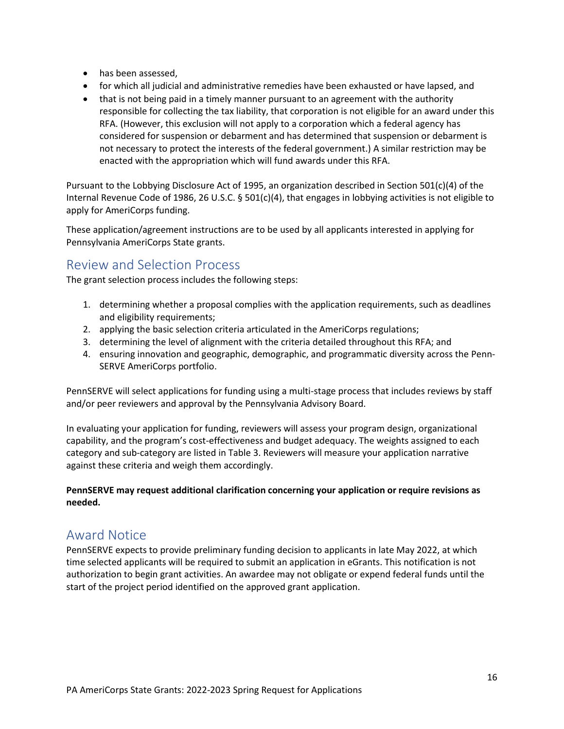- has been assessed,
- for which all judicial and administrative remedies have been exhausted or have lapsed, and
- that is not being paid in a timely manner pursuant to an agreement with the authority responsible for collecting the tax liability, that corporation is not eligible for an award under this RFA. (However, this exclusion will not apply to a corporation which a federal agency has considered for suspension or debarment and has determined that suspension or debarment is not necessary to protect the interests of the federal government.) A similar restriction may be enacted with the appropriation which will fund awards under this RFA.

Pursuant to the Lobbying Disclosure Act of 1995, an organization described in Section 501(c)(4) of the Internal Revenue Code of 1986, 26 U.S.C. § 501(c)(4), that engages in lobbying activities is not eligible to apply for AmeriCorps funding.

These application/agreement instructions are to be used by all applicants interested in applying for Pennsylvania AmeriCorps State grants.

### <span id="page-15-0"></span>Review and Selection Process

The grant selection process includes the following steps:

- 1. determining whether a proposal complies with the application requirements, such as deadlines and eligibility requirements;
- 2. applying the basic selection criteria articulated in the AmeriCorps regulations;
- 3. determining the level of alignment with the criteria detailed throughout this RFA; and
- 4. ensuring innovation and geographic, demographic, and programmatic diversity across the Penn-SERVE AmeriCorps portfolio.

PennSERVE will select applications for funding using a multi-stage process that includes reviews by staff and/or peer reviewers and approval by the Pennsylvania Advisory Board.

In evaluating your application for funding, reviewers will assess your program design, organizational capability, and the program's cost-effectiveness and budget adequacy. The weights assigned to each category and sub-category are listed in Table 3. Reviewers will measure your application narrative against these criteria and weigh them accordingly.

**PennSERVE may request additional clarification concerning your application or require revisions as needed.**

### <span id="page-15-1"></span>Award Notice

PennSERVE expects to provide preliminary funding decision to applicants in late May 2022, at which time selected applicants will be required to submit an application in eGrants. This notification is not authorization to begin grant activities. An awardee may not obligate or expend federal funds until the start of the project period identified on the approved grant application.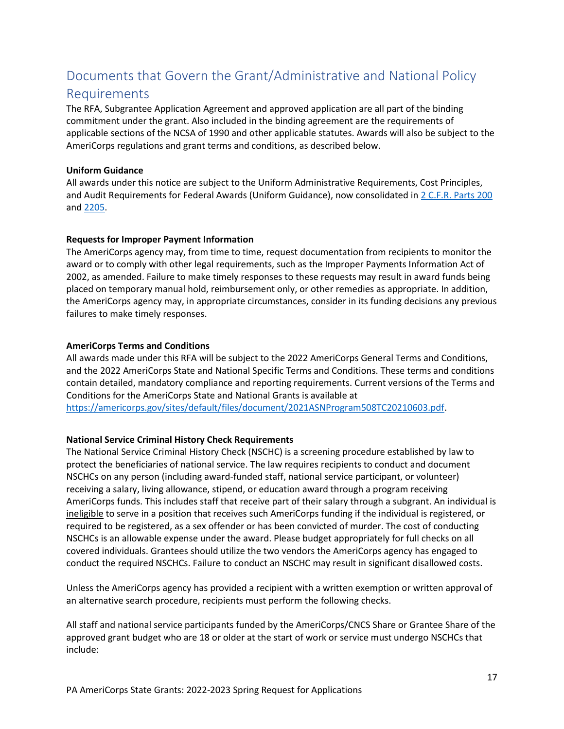# <span id="page-16-0"></span>Documents that Govern the Grant/Administrative and National Policy

### Requirements

The RFA, Subgrantee Application Agreement and approved application are all part of the binding commitment under the grant. Also included in the binding agreement are the requirements of applicable sections of the NCSA of 1990 and other applicable statutes. Awards will also be subject to the AmeriCorps regulations and grant terms and conditions, as described below.

### **Uniform Guidance**

All awards under this notice are subject to the Uniform Administrative Requirements, Cost Principles, and Audit Requirements for Federal Awards (Uniform Guidance), now consolidated in [2 C.F.R. Parts 200](http://www.ecfr.gov/cgi-bin/text-idx?SID=379c69c6a453c93b76142986a4ce5ad4&node=pt2.1.200&rgn=div5) and [2205.](http://www.ecfr.gov/cgi-bin/text-idx?SID=f7425ef67312ab84da9e76ed5d79dff7&node=pt2.1.2205&rgn=div5)

### **Requests for Improper Payment Information**

The AmeriCorps agency may, from time to time, request documentation from recipients to monitor the award or to comply with other legal requirements, such as the Improper Payments Information Act of 2002, as amended. Failure to make timely responses to these requests may result in award funds being placed on temporary manual hold, reimbursement only, or other remedies as appropriate. In addition, the AmeriCorps agency may, in appropriate circumstances, consider in its funding decisions any previous failures to make timely responses.

### **AmeriCorps Terms and Conditions**

All awards made under this RFA will be subject to the 2022 AmeriCorps General Terms and Conditions, and the 2022 AmeriCorps State and National Specific Terms and Conditions. These terms and conditions contain detailed, mandatory compliance and reporting requirements. Current versions of the Terms and Conditions for the AmeriCorps State and National Grants is available at [https://americorps.gov/sites/default/files/document/2021ASNProgram508TC20210603.pdf.](https://americorps.gov/sites/default/files/document/2021ASNProgram508TC20210603.pdf)

### **National Service Criminal History Check Requirements**

The National Service Criminal History Check (NSCHC) is a screening procedure established by law to protect the beneficiaries of national service. The law requires recipients to conduct and document NSCHCs on any person (including award-funded staff, national service participant, or volunteer) receiving a salary, living allowance, stipend, or education award through a program receiving AmeriCorps funds. This includes staff that receive part of their salary through a subgrant. An individual is ineligible to serve in a position that receives such AmeriCorps funding if the individual is registered, or required to be registered, as a sex offender or has been convicted of murder. The cost of conducting NSCHCs is an allowable expense under the award. Please budget appropriately for full checks on all covered individuals. Grantees should utilize the two vendors the AmeriCorps agency has engaged to conduct the required NSCHCs. Failure to conduct an NSCHC may result in significant disallowed costs.

Unless the AmeriCorps agency has provided a recipient with a written exemption or written approval of an alternative search procedure, recipients must perform the following checks.

All staff and national service participants funded by the AmeriCorps/CNCS Share or Grantee Share of the approved grant budget who are 18 or older at the start of work or service must undergo NSCHCs that include: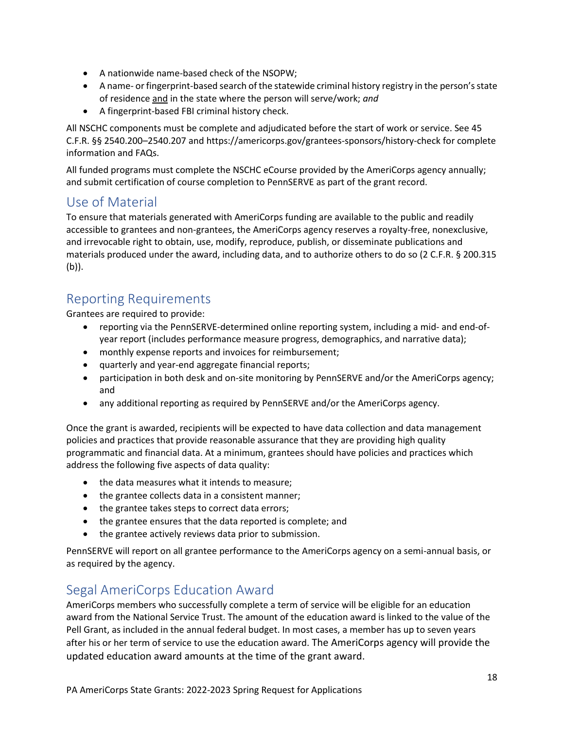- A nationwide name-based check of the NSOPW;
- A name- or fingerprint-based search of the statewide criminal history registry in the person's state of residence and in the state where the person will serve/work; *and*
- A fingerprint-based FBI criminal history check.

All NSCHC components must be complete and adjudicated before the start of work or service. See 45 C.F.R. §§ 2540.200–2540.207 and https://americorps.gov/grantees-sponsors/history-check for complete information and FAQs.

All funded programs must complete the NSCHC eCourse provided by the AmeriCorps agency annually; and submit certification of course completion to PennSERVE as part of the grant record.

### <span id="page-17-0"></span>Use of Material

To ensure that materials generated with AmeriCorps funding are available to the public and readily accessible to grantees and non-grantees, the AmeriCorps agency reserves a royalty-free, nonexclusive, and irrevocable right to obtain, use, modify, reproduce, publish, or disseminate publications and materials produced under the award, including data, and to authorize others to do so (2 C.F.R. § 200.315 (b)).

# <span id="page-17-1"></span>Reporting Requirements

Grantees are required to provide:

- reporting via the PennSERVE-determined online reporting system, including a mid- and end-ofyear report (includes performance measure progress, demographics, and narrative data);
- monthly expense reports and invoices for reimbursement;
- quarterly and year-end aggregate financial reports;
- participation in both desk and on-site monitoring by PennSERVE and/or the AmeriCorps agency; and
- any additional reporting as required by PennSERVE and/or the AmeriCorps agency.

Once the grant is awarded, recipients will be expected to have data collection and data management policies and practices that provide reasonable assurance that they are providing high quality programmatic and financial data. At a minimum, grantees should have policies and practices which address the following five aspects of data quality:

- the data measures what it intends to measure;
- the grantee collects data in a consistent manner;
- the grantee takes steps to correct data errors;
- the grantee ensures that the data reported is complete; and
- the grantee actively reviews data prior to submission.

PennSERVE will report on all grantee performance to the AmeriCorps agency on a semi-annual basis, or as required by the agency.

### <span id="page-17-2"></span>Segal AmeriCorps Education Award

AmeriCorps members who successfully complete a term of service will be eligible for an education award from the National Service Trust. The amount of the education award is linked to the value of the Pell Grant, as included in the annual federal budget. In most cases, a member has up to seven years after his or her term of service to use the education award. The AmeriCorps agency will provide the updated education award amounts at the time of the grant award.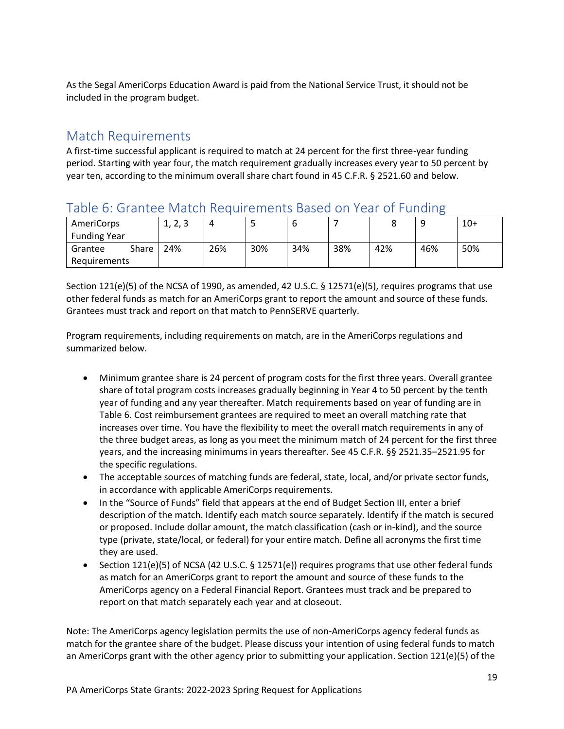As the Segal AmeriCorps Education Award is paid from the National Service Trust, it should not be included in the program budget.

### <span id="page-18-0"></span>Match Requirements

A first-time successful applicant is required to match at 24 percent for the first three-year funding period. Starting with year four, the match requirement gradually increases every year to 50 percent by year ten, according to the minimum overall share chart found in 45 C.F.R. § 2521.60 and below.

### <span id="page-18-1"></span>Table 6: Grantee Match Requirements Based on Year of Funding

| AmeriCorps          |       | ີ<br>1, 4, 3 | 4   |     | D   |     |     |     | $10+$ |
|---------------------|-------|--------------|-----|-----|-----|-----|-----|-----|-------|
| <b>Funding Year</b> |       |              |     |     |     |     |     |     |       |
| Grantee             | Share | 24%          | 26% | 30% | 34% | 38% | 42% | 46% | 50%   |
| Requirements        |       |              |     |     |     |     |     |     |       |

Section 121(e)(5) of the NCSA of 1990, as amended, 42 U.S.C. § 12571(e)(5), requires programs that use other federal funds as match for an AmeriCorps grant to report the amount and source of these funds. Grantees must track and report on that match to PennSERVE quarterly.

Program requirements, including requirements on match, are in the AmeriCorps regulations and summarized below.

- Minimum grantee share is 24 percent of program costs for the first three years. Overall grantee share of total program costs increases gradually beginning in Year 4 to 50 percent by the tenth year of funding and any year thereafter. Match requirements based on year of funding are in Table 6. Cost reimbursement grantees are required to meet an overall matching rate that increases over time. You have the flexibility to meet the overall match requirements in any of the three budget areas, as long as you meet the minimum match of 24 percent for the first three years, and the increasing minimums in years thereafter. See 45 C.F.R. §§ 2521.35–2521.95 for the specific regulations.
- The acceptable sources of matching funds are federal, state, local, and/or private sector funds, in accordance with applicable AmeriCorps requirements.
- In the "Source of Funds" field that appears at the end of Budget Section III, enter a brief description of the match. Identify each match source separately. Identify if the match is secured or proposed. Include dollar amount, the match classification (cash or in-kind), and the source type (private, state/local, or federal) for your entire match. Define all acronyms the first time they are used.
- Section 121(e)(5) of NCSA (42 U.S.C. § 12571(e)) requires programs that use other federal funds as match for an AmeriCorps grant to report the amount and source of these funds to the AmeriCorps agency on a Federal Financial Report. Grantees must track and be prepared to report on that match separately each year and at closeout.

Note: The AmeriCorps agency legislation permits the use of non-AmeriCorps agency federal funds as match for the grantee share of the budget. Please discuss your intention of using federal funds to match an AmeriCorps grant with the other agency prior to submitting your application. Section 121(e)(5) of the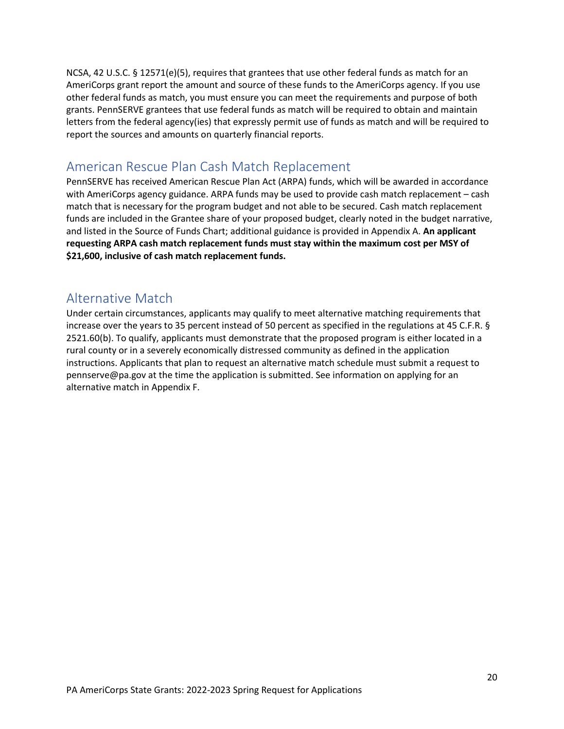NCSA, 42 U.S.C. § 12571(e)(5), requires that grantees that use other federal funds as match for an AmeriCorps grant report the amount and source of these funds to the AmeriCorps agency. If you use other federal funds as match, you must ensure you can meet the requirements and purpose of both grants. PennSERVE grantees that use federal funds as match will be required to obtain and maintain letters from the federal agency(ies) that expressly permit use of funds as match and will be required to report the sources and amounts on quarterly financial reports.

### <span id="page-19-0"></span>American Rescue Plan Cash Match Replacement

PennSERVE has received American Rescue Plan Act (ARPA) funds, which will be awarded in accordance with AmeriCorps agency guidance. ARPA funds may be used to provide cash match replacement – cash match that is necessary for the program budget and not able to be secured. Cash match replacement funds are included in the Grantee share of your proposed budget, clearly noted in the budget narrative, and listed in the Source of Funds Chart; additional guidance is provided in Appendix A. **An applicant requesting ARPA cash match replacement funds must stay within the maximum cost per MSY of \$21,600, inclusive of cash match replacement funds.**

# <span id="page-19-1"></span>Alternative Match

<span id="page-19-2"></span>Under certain circumstances, applicants may qualify to meet alternative matching requirements that increase over the years to 35 percent instead of 50 percent as specified in the regulations at 45 C.F.R. § 2521.60(b). To qualify, applicants must demonstrate that the proposed program is either located in a rural county or in a severely economically distressed community as defined in the application instructions. Applicants that plan to request an alternative match schedule must submit a request to pennserve@pa.gov at the time the application is submitted. See information on applying for an alternative match in Appendix F.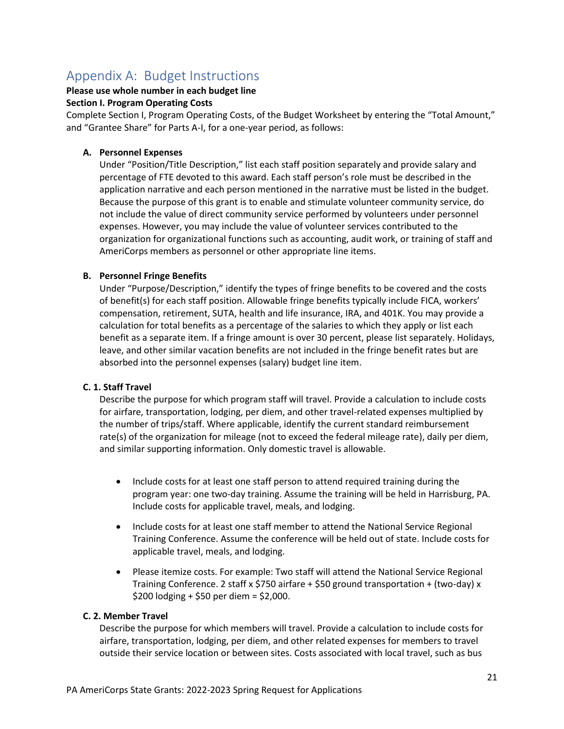# Appendix A: Budget Instructions

### **Please use whole number in each budget line**

#### **Section I. Program Operating Costs**

Complete Section I, Program Operating Costs, of the Budget Worksheet by entering the "Total Amount," and "Grantee Share" for Parts A-I, for a one-year period, as follows:

### **A. Personnel Expenses**

Under "Position/Title Description," list each staff position separately and provide salary and percentage of FTE devoted to this award. Each staff person's role must be described in the application narrative and each person mentioned in the narrative must be listed in the budget. Because the purpose of this grant is to enable and stimulate volunteer community service, do not include the value of direct community service performed by volunteers under personnel expenses. However, you may include the value of volunteer services contributed to the organization for organizational functions such as accounting, audit work, or training of staff and AmeriCorps members as personnel or other appropriate line items.

#### **B. Personnel Fringe Benefits**

Under "Purpose/Description," identify the types of fringe benefits to be covered and the costs of benefit(s) for each staff position. Allowable fringe benefits typically include FICA, workers' compensation, retirement, SUTA, health and life insurance, IRA, and 401K. You may provide a calculation for total benefits as a percentage of the salaries to which they apply or list each benefit as a separate item. If a fringe amount is over 30 percent, please list separately. Holidays, leave, and other similar vacation benefits are not included in the fringe benefit rates but are absorbed into the personnel expenses (salary) budget line item.

#### **C. 1. Staff Travel**

Describe the purpose for which program staff will travel. Provide a calculation to include costs for airfare, transportation, lodging, per diem, and other travel-related expenses multiplied by the number of trips/staff. Where applicable, identify the current standard reimbursement rate(s) of the organization for mileage (not to exceed the federal mileage rate), daily per diem, and similar supporting information. Only domestic travel is allowable.

- Include costs for at least one staff person to attend required training during the program year: one two-day training. Assume the training will be held in Harrisburg, PA. Include costs for applicable travel, meals, and lodging.
- Include costs for at least one staff member to attend the National Service Regional Training Conference. Assume the conference will be held out of state. Include costs for applicable travel, meals, and lodging.
- Please itemize costs. For example: Two staff will attend the National Service Regional Training Conference. 2 staff x \$750 airfare + \$50 ground transportation + (two-day) x \$200 lodging + \$50 per diem = \$2,000.

#### **C. 2. Member Travel**

Describe the purpose for which members will travel. Provide a calculation to include costs for airfare, transportation, lodging, per diem, and other related expenses for members to travel outside their service location or between sites. Costs associated with local travel, such as bus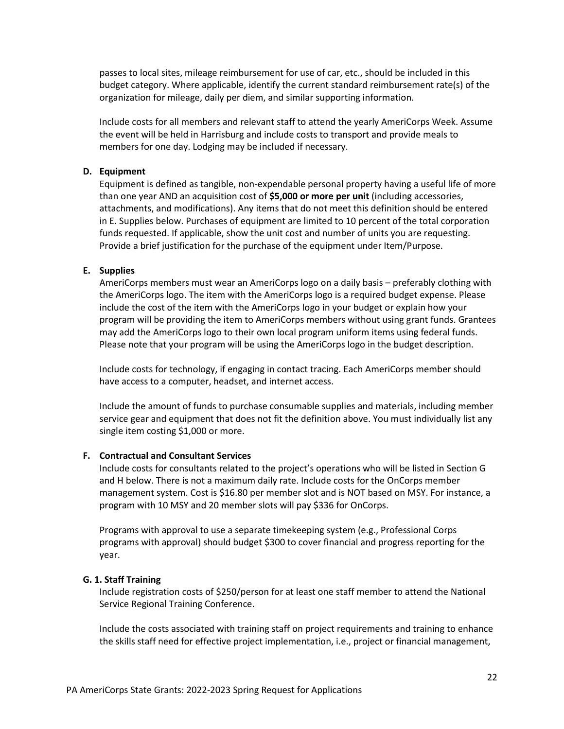passes to local sites, mileage reimbursement for use of car, etc., should be included in this budget category. Where applicable, identify the current standard reimbursement rate(s) of the organization for mileage, daily per diem, and similar supporting information.

Include costs for all members and relevant staff to attend the yearly AmeriCorps Week. Assume the event will be held in Harrisburg and include costs to transport and provide meals to members for one day. Lodging may be included if necessary.

#### **D. Equipment**

Equipment is defined as tangible, non-expendable personal property having a useful life of more than one year AND an acquisition cost of **\$5,000 or more per unit** (including accessories, attachments, and modifications). Any items that do not meet this definition should be entered in E. Supplies below. Purchases of equipment are limited to 10 percent of the total corporation funds requested. If applicable, show the unit cost and number of units you are requesting. Provide a brief justification for the purchase of the equipment under Item/Purpose.

#### **E. Supplies**

AmeriCorps members must wear an AmeriCorps logo on a daily basis – preferably clothing with the AmeriCorps logo. The item with the AmeriCorps logo is a required budget expense. Please include the cost of the item with the AmeriCorps logo in your budget or explain how your program will be providing the item to AmeriCorps members without using grant funds. Grantees may add the AmeriCorps logo to their own local program uniform items using federal funds. Please note that your program will be using the AmeriCorps logo in the budget description.

Include costs for technology, if engaging in contact tracing. Each AmeriCorps member should have access to a computer, headset, and internet access.

Include the amount of funds to purchase consumable supplies and materials, including member service gear and equipment that does not fit the definition above. You must individually list any single item costing \$1,000 or more.

#### **F. Contractual and Consultant Services**

Include costs for consultants related to the project's operations who will be listed in Section G and H below. There is not a maximum daily rate. Include costs for the OnCorps member management system. Cost is \$16.80 per member slot and is NOT based on MSY. For instance, a program with 10 MSY and 20 member slots will pay \$336 for OnCorps.

Programs with approval to use a separate timekeeping system (e.g., Professional Corps programs with approval) should budget \$300 to cover financial and progress reporting for the year.

#### **G. 1. Staff Training**

Include registration costs of \$250/person for at least one staff member to attend the National Service Regional Training Conference.

Include the costs associated with training staff on project requirements and training to enhance the skills staff need for effective project implementation, i.e., project or financial management,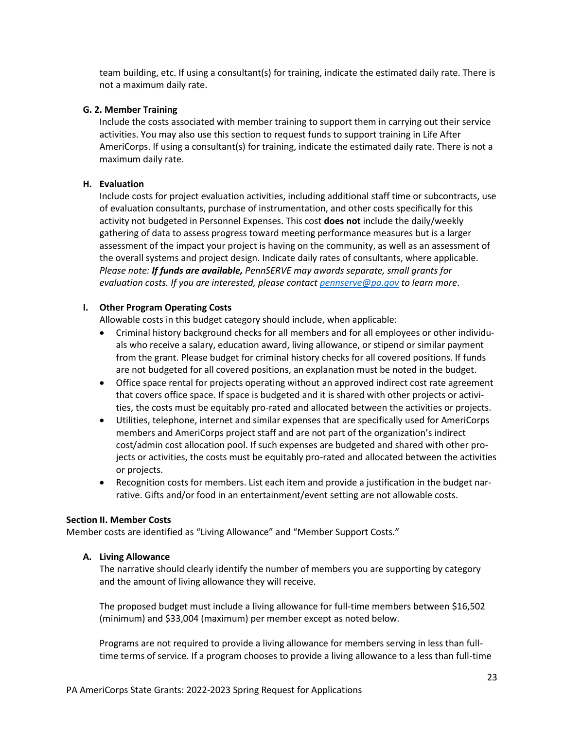team building, etc. If using a consultant(s) for training, indicate the estimated daily rate. There is not a maximum daily rate.

#### **G. 2. Member Training**

Include the costs associated with member training to support them in carrying out their service activities. You may also use this section to request funds to support training in Life After AmeriCorps. If using a consultant(s) for training, indicate the estimated daily rate. There is not a maximum daily rate.

#### **H. Evaluation**

Include costs for project evaluation activities, including additional staff time or subcontracts, use of evaluation consultants, purchase of instrumentation, and other costs specifically for this activity not budgeted in Personnel Expenses. This cost **does not** include the daily/weekly gathering of data to assess progress toward meeting performance measures but is a larger assessment of the impact your project is having on the community, as well as an assessment of the overall systems and project design. Indicate daily rates of consultants, where applicable. *Please note: If funds are available, PennSERVE may awards separate, small grants for evaluation costs. If you are interested, please contact [pennserve@pa.gov](mailto:pennserve@pa.gov) to learn more*.

#### **I. Other Program Operating Costs**

Allowable costs in this budget category should include, when applicable:

- Criminal history background checks for all members and for all employees or other individuals who receive a salary, education award, living allowance, or stipend or similar payment from the grant. Please budget for criminal history checks for all covered positions. If funds are not budgeted for all covered positions, an explanation must be noted in the budget.
- Office space rental for projects operating without an approved indirect cost rate agreement that covers office space. If space is budgeted and it is shared with other projects or activities, the costs must be equitably pro-rated and allocated between the activities or projects.
- Utilities, telephone, internet and similar expenses that are specifically used for AmeriCorps members and AmeriCorps project staff and are not part of the organization's indirect cost/admin cost allocation pool. If such expenses are budgeted and shared with other projects or activities, the costs must be equitably pro-rated and allocated between the activities or projects.
- Recognition costs for members. List each item and provide a justification in the budget narrative. Gifts and/or food in an entertainment/event setting are not allowable costs.

#### **Section II. Member Costs**

Member costs are identified as "Living Allowance" and "Member Support Costs."

#### **A. Living Allowance**

The narrative should clearly identify the number of members you are supporting by category and the amount of living allowance they will receive.

The proposed budget must include a living allowance for full-time members between \$16,502 (minimum) and \$33,004 (maximum) per member except as noted below.

Programs are not required to provide a living allowance for members serving in less than fulltime terms of service. If a program chooses to provide a living allowance to a less than full-time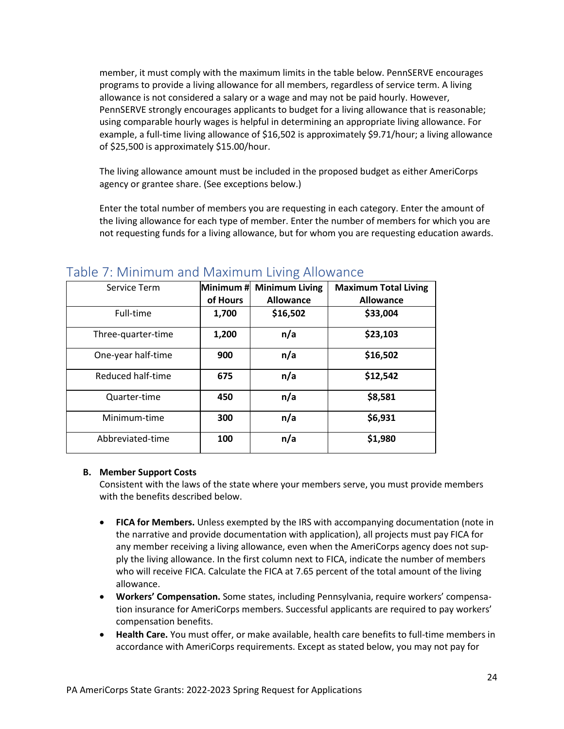member, it must comply with the maximum limits in the table below. PennSERVE encourages programs to provide a living allowance for all members, regardless of service term. A living allowance is not considered a salary or a wage and may not be paid hourly. However, PennSERVE strongly encourages applicants to budget for a living allowance that is reasonable; using comparable hourly wages is helpful in determining an appropriate living allowance. For example, a full-time living allowance of \$16,502 is approximately \$9.71/hour; a living allowance of \$25,500 is approximately \$15.00/hour.

The living allowance amount must be included in the proposed budget as either AmeriCorps agency or grantee share. (See exceptions below.)

Enter the total number of members you are requesting in each category. Enter the amount of the living allowance for each type of member. Enter the number of members for which you are not requesting funds for a living allowance, but for whom you are requesting education awards.

| Service Term       | Minimum #<br>of Hours | <b>Minimum Living</b><br><b>Allowance</b> | <b>Maximum Total Living</b><br><b>Allowance</b> |
|--------------------|-----------------------|-------------------------------------------|-------------------------------------------------|
| Full-time          | 1,700                 | \$16,502                                  | \$33,004                                        |
| Three-quarter-time | 1,200                 | n/a                                       | \$23,103                                        |
| One-year half-time | 900                   | n/a                                       | \$16,502                                        |
| Reduced half-time  | 675                   | n/a                                       | \$12,542                                        |
| Quarter-time       | 450                   | n/a                                       | \$8,581                                         |
| Minimum-time       | 300                   | n/a                                       | \$6,931                                         |
| Abbreviated-time   | 100                   | n/a                                       | \$1,980                                         |

### <span id="page-23-0"></span>Table 7: Minimum and Maximum Living Allowance

#### **B. Member Support Costs**

Consistent with the laws of the state where your members serve, you must provide members with the benefits described below.

- **FICA for Members.** Unless exempted by the IRS with accompanying documentation (note in the narrative and provide documentation with application), all projects must pay FICA for any member receiving a living allowance, even when the AmeriCorps agency does not supply the living allowance. In the first column next to FICA, indicate the number of members who will receive FICA. Calculate the FICA at 7.65 percent of the total amount of the living allowance.
- **Workers' Compensation.** Some states, including Pennsylvania, require workers' compensation insurance for AmeriCorps members. Successful applicants are required to pay workers' compensation benefits.
- **Health Care.** You must offer, or make available, health care benefits to full-time members in accordance with AmeriCorps requirements. Except as stated below, you may not pay for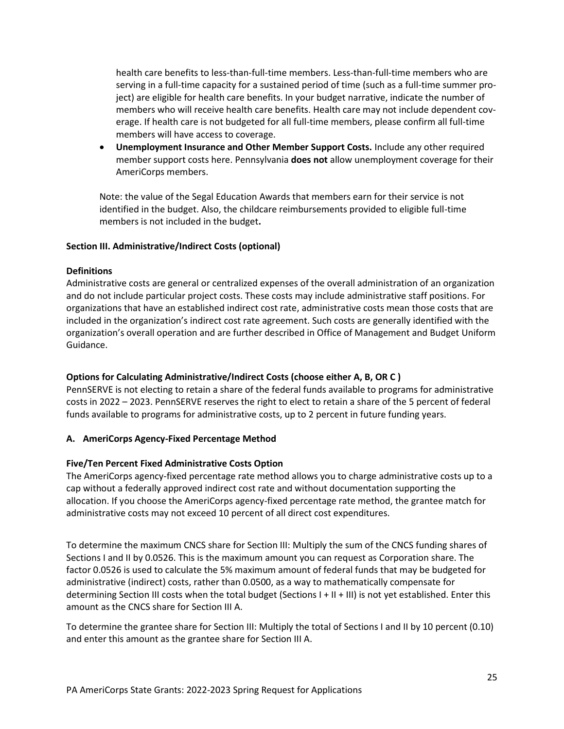health care benefits to less-than-full-time members. Less-than-full-time members who are serving in a full-time capacity for a sustained period of time (such as a full-time summer project) are eligible for health care benefits. In your budget narrative, indicate the number of members who will receive health care benefits. Health care may not include dependent coverage. If health care is not budgeted for all full-time members, please confirm all full-time members will have access to coverage.

• **Unemployment Insurance and Other Member Support Costs.** Include any other required member support costs here. Pennsylvania **does not** allow unemployment coverage for their AmeriCorps members.

Note: the value of the Segal Education Awards that members earn for their service is not identified in the budget. Also, the childcare reimbursements provided to eligible full-time members is not included in the budget**.**

### **Section III. Administrative/Indirect Costs (optional)**

### **Definitions**

Administrative costs are general or centralized expenses of the overall administration of an organization and do not include particular project costs. These costs may include administrative staff positions. For organizations that have an established indirect cost rate, administrative costs mean those costs that are included in the organization's indirect cost rate agreement. Such costs are generally identified with the organization's overall operation and are further described in Office of Management and Budget Uniform Guidance.

### **Options for Calculating Administrative/Indirect Costs (choose either A, B, OR C )**

PennSERVE is not electing to retain a share of the federal funds available to programs for administrative costs in 2022 – 2023. PennSERVE reserves the right to elect to retain a share of the 5 percent of federal funds available to programs for administrative costs, up to 2 percent in future funding years.

#### **A. AmeriCorps Agency-Fixed Percentage Method**

#### **Five/Ten Percent Fixed Administrative Costs Option**

The AmeriCorps agency-fixed percentage rate method allows you to charge administrative costs up to a cap without a federally approved indirect cost rate and without documentation supporting the allocation. If you choose the AmeriCorps agency-fixed percentage rate method, the grantee match for administrative costs may not exceed 10 percent of all direct cost expenditures.

To determine the maximum CNCS share for Section III: Multiply the sum of the CNCS funding shares of Sections I and II by 0.0526. This is the maximum amount you can request as Corporation share. The factor 0.0526 is used to calculate the 5% maximum amount of federal funds that may be budgeted for administrative (indirect) costs, rather than 0.0500, as a way to mathematically compensate for determining Section III costs when the total budget (Sections I + II + III) is not yet established. Enter this amount as the CNCS share for Section III A.

To determine the grantee share for Section III: Multiply the total of Sections I and II by 10 percent (0.10) and enter this amount as the grantee share for Section III A.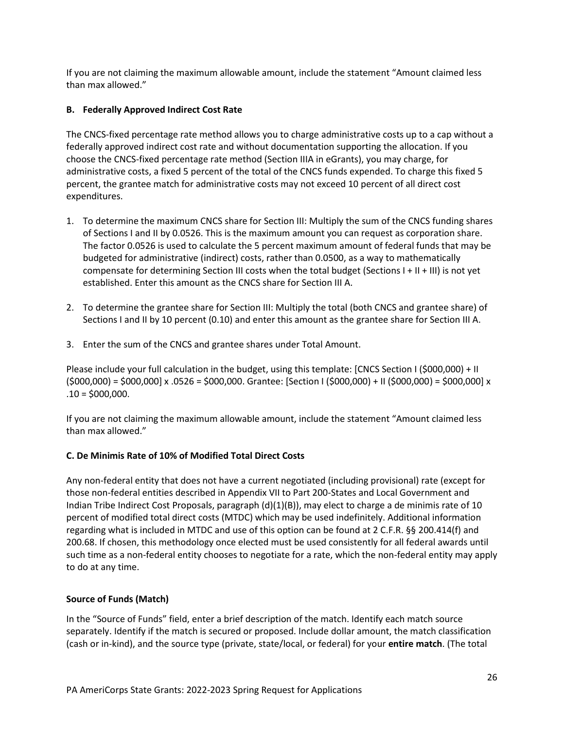If you are not claiming the maximum allowable amount, include the statement "Amount claimed less than max allowed."

### **B. Federally Approved Indirect Cost Rate**

The CNCS-fixed percentage rate method allows you to charge administrative costs up to a cap without a federally approved indirect cost rate and without documentation supporting the allocation. If you choose the CNCS-fixed percentage rate method (Section IIIA in eGrants), you may charge, for administrative costs, a fixed 5 percent of the total of the CNCS funds expended. To charge this fixed 5 percent, the grantee match for administrative costs may not exceed 10 percent of all direct cost expenditures.

- 1. To determine the maximum CNCS share for Section III: Multiply the sum of the CNCS funding shares of Sections I and II by 0.0526. This is the maximum amount you can request as corporation share. The factor 0.0526 is used to calculate the 5 percent maximum amount of federal funds that may be budgeted for administrative (indirect) costs, rather than 0.0500, as a way to mathematically compensate for determining Section III costs when the total budget (Sections I + II + III) is not yet established. Enter this amount as the CNCS share for Section III A.
- 2. To determine the grantee share for Section III: Multiply the total (both CNCS and grantee share) of Sections I and II by 10 percent (0.10) and enter this amount as the grantee share for Section III A.
- 3. Enter the sum of the CNCS and grantee shares under Total Amount.

Please include your full calculation in the budget, using this template: [CNCS Section I (\$000,000) + II  $(5000,000) = 5000,000$  x .0526 = \$000,000. Grantee: [Section I (\$000,000) + II (\$000,000) = \$000,000] x  $.10 = $000,000.$ 

If you are not claiming the maximum allowable amount, include the statement "Amount claimed less than max allowed."

### **C. De Minimis Rate of 10% of Modified Total Direct Costs**

Any non-federal entity that does not have a current negotiated (including provisional) rate (except for those non-federal entities described in Appendix VII to Part 200-States and Local Government and Indian Tribe Indirect Cost Proposals, paragraph (d)(1)(B)), may elect to charge a de minimis rate of 10 percent of modified total direct costs (MTDC) which may be used indefinitely. Additional information regarding what is included in MTDC and use of this option can be found at 2 C.F.R. §§ 200.414(f) and 200.68. If chosen, this methodology once elected must be used consistently for all federal awards until such time as a non-federal entity chooses to negotiate for a rate, which the non-federal entity may apply to do at any time.

### **Source of Funds (Match)**

In the "Source of Funds" field, enter a brief description of the match. Identify each match source separately. Identify if the match is secured or proposed. Include dollar amount, the match classification (cash or in-kind), and the source type (private, state/local, or federal) for your **entire match**. (The total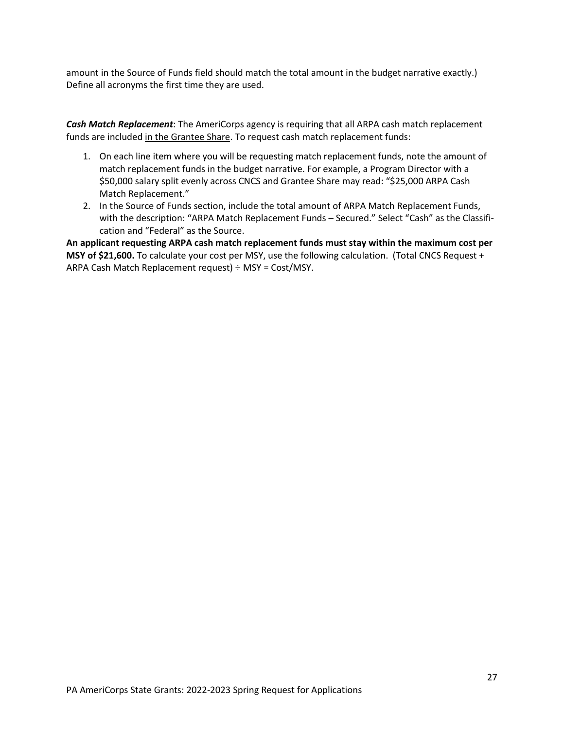amount in the Source of Funds field should match the total amount in the budget narrative exactly.) Define all acronyms the first time they are used.

*Cash Match Replacement*: The AmeriCorps agency is requiring that all ARPA cash match replacement funds are included in the Grantee Share. To request cash match replacement funds:

- 1. On each line item where you will be requesting match replacement funds, note the amount of match replacement funds in the budget narrative. For example, a Program Director with a \$50,000 salary split evenly across CNCS and Grantee Share may read: "\$25,000 ARPA Cash Match Replacement."
- 2. In the Source of Funds section, include the total amount of ARPA Match Replacement Funds, with the description: "ARPA Match Replacement Funds – Secured." Select "Cash" as the Classification and "Federal" as the Source.

<span id="page-26-0"></span>**An applicant requesting ARPA cash match replacement funds must stay within the maximum cost per MSY of \$21,600.** To calculate your cost per MSY, use the following calculation. (Total CNCS Request + ARPA Cash Match Replacement request) ÷ MSY = Cost/MSY.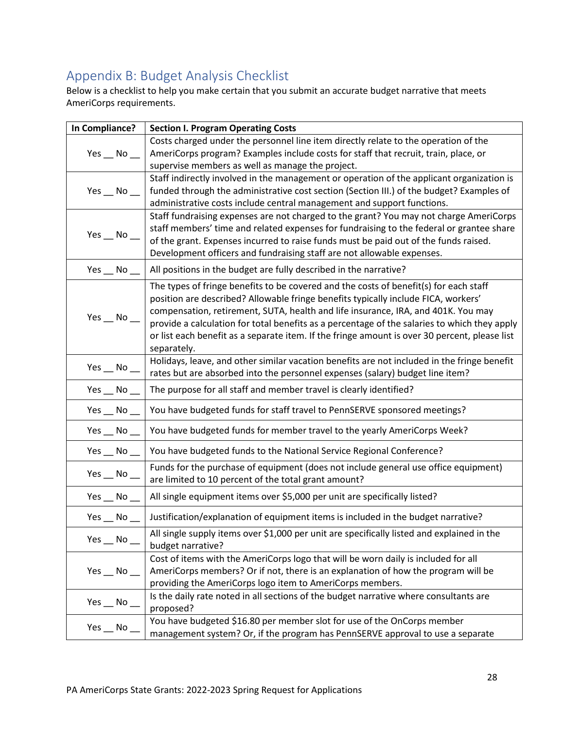# Appendix B: Budget Analysis Checklist

Below is a checklist to help you make certain that you submit an accurate budget narrative that meets AmeriCorps requirements.

| Costs charged under the personnel line item directly relate to the operation of the<br>$Yes$ No $\_\_$<br>AmeriCorps program? Examples include costs for staff that recruit, train, place, or<br>supervise members as well as manage the project.<br>Staff indirectly involved in the management or operation of the applicant organization is<br>funded through the administrative cost section (Section III.) of the budget? Examples of<br>$Yes$ No $\_\_$<br>administrative costs include central management and support functions.<br>Staff fundraising expenses are not charged to the grant? You may not charge AmeriCorps<br>staff members' time and related expenses for fundraising to the federal or grantee share<br>Yes $\_\,$ No $\_\$<br>of the grant. Expenses incurred to raise funds must be paid out of the funds raised.<br>Development officers and fundraising staff are not allowable expenses.<br>All positions in the budget are fully described in the narrative?<br>Yes $\_\,$ No $\_\$<br>The types of fringe benefits to be covered and the costs of benefit(s) for each staff<br>position are described? Allowable fringe benefits typically include FICA, workers'<br>compensation, retirement, SUTA, health and life insurance, IRA, and 401K. You may<br>$Yes$ No $\_\$<br>provide a calculation for total benefits as a percentage of the salaries to which they apply<br>or list each benefit as a separate item. If the fringe amount is over 30 percent, please list<br>separately.<br>Holidays, leave, and other similar vacation benefits are not included in the fringe benefit<br>$Yes$ _ No _<br>rates but are absorbed into the personnel expenses (salary) budget line item?<br>The purpose for all staff and member travel is clearly identified?<br>Yes $\_\,$ No $\_\$<br>You have budgeted funds for staff travel to PennSERVE sponsored meetings?<br>Yes $\_\!\_\!\$ No $\_\!\_$<br>Yes $\_\,$ No $\_$<br>You have budgeted funds for member travel to the yearly AmeriCorps Week?<br>You have budgeted funds to the National Service Regional Conference?<br>$Yes$ No $\_\$<br>Funds for the purchase of equipment (does not include general use office equipment)<br>$Yes$ _ No _<br>are limited to 10 percent of the total grant amount?<br>All single equipment items over \$5,000 per unit are specifically listed?<br>$Yes$ No $\_\_$<br>Justification/explanation of equipment items is included in the budget narrative?<br>Yes No<br>All single supply items over \$1,000 per unit are specifically listed and explained in the<br>Yes $\_\,$ No $\_$<br>budget narrative?<br>Cost of items with the AmeriCorps logo that will be worn daily is included for all<br>AmeriCorps members? Or if not, there is an explanation of how the program will be<br>$Yes$ No $\_\_$<br>providing the AmeriCorps logo item to AmeriCorps members.<br>Is the daily rate noted in all sections of the budget narrative where consultants are<br>Yes $\_\,$ No $\_\$<br>proposed?<br>You have budgeted \$16.80 per member slot for use of the OnCorps member<br>$Yes$ _ No _<br>management system? Or, if the program has PennSERVE approval to use a separate | In Compliance? | <b>Section I. Program Operating Costs</b> |
|-----------------------------------------------------------------------------------------------------------------------------------------------------------------------------------------------------------------------------------------------------------------------------------------------------------------------------------------------------------------------------------------------------------------------------------------------------------------------------------------------------------------------------------------------------------------------------------------------------------------------------------------------------------------------------------------------------------------------------------------------------------------------------------------------------------------------------------------------------------------------------------------------------------------------------------------------------------------------------------------------------------------------------------------------------------------------------------------------------------------------------------------------------------------------------------------------------------------------------------------------------------------------------------------------------------------------------------------------------------------------------------------------------------------------------------------------------------------------------------------------------------------------------------------------------------------------------------------------------------------------------------------------------------------------------------------------------------------------------------------------------------------------------------------------------------------------------------------------------------------------------------------------------------------------------------------------------------------------------------------------------------------------------------------------------------------------------------------------------------------------------------------------------------------------------------------------------------------------------------------------------------------------------------------------------------------------------------------------------------------------------------------------------------------------------------------------------------------------------------------------------------------------------------------------------------------------------------------------------------------------------------------------------------------------------------------------------------------------------------------------------------------------------------------------------------------------------------------------------------------------------------------------------------------------------------------------------------------------------------------------------------------------------------------------------------------------------------------------------------------------------------------------------------------------------------------------------------|----------------|-------------------------------------------|
|                                                                                                                                                                                                                                                                                                                                                                                                                                                                                                                                                                                                                                                                                                                                                                                                                                                                                                                                                                                                                                                                                                                                                                                                                                                                                                                                                                                                                                                                                                                                                                                                                                                                                                                                                                                                                                                                                                                                                                                                                                                                                                                                                                                                                                                                                                                                                                                                                                                                                                                                                                                                                                                                                                                                                                                                                                                                                                                                                                                                                                                                                                                                                                                                           |                |                                           |
|                                                                                                                                                                                                                                                                                                                                                                                                                                                                                                                                                                                                                                                                                                                                                                                                                                                                                                                                                                                                                                                                                                                                                                                                                                                                                                                                                                                                                                                                                                                                                                                                                                                                                                                                                                                                                                                                                                                                                                                                                                                                                                                                                                                                                                                                                                                                                                                                                                                                                                                                                                                                                                                                                                                                                                                                                                                                                                                                                                                                                                                                                                                                                                                                           |                |                                           |
|                                                                                                                                                                                                                                                                                                                                                                                                                                                                                                                                                                                                                                                                                                                                                                                                                                                                                                                                                                                                                                                                                                                                                                                                                                                                                                                                                                                                                                                                                                                                                                                                                                                                                                                                                                                                                                                                                                                                                                                                                                                                                                                                                                                                                                                                                                                                                                                                                                                                                                                                                                                                                                                                                                                                                                                                                                                                                                                                                                                                                                                                                                                                                                                                           |                |                                           |
|                                                                                                                                                                                                                                                                                                                                                                                                                                                                                                                                                                                                                                                                                                                                                                                                                                                                                                                                                                                                                                                                                                                                                                                                                                                                                                                                                                                                                                                                                                                                                                                                                                                                                                                                                                                                                                                                                                                                                                                                                                                                                                                                                                                                                                                                                                                                                                                                                                                                                                                                                                                                                                                                                                                                                                                                                                                                                                                                                                                                                                                                                                                                                                                                           |                |                                           |
|                                                                                                                                                                                                                                                                                                                                                                                                                                                                                                                                                                                                                                                                                                                                                                                                                                                                                                                                                                                                                                                                                                                                                                                                                                                                                                                                                                                                                                                                                                                                                                                                                                                                                                                                                                                                                                                                                                                                                                                                                                                                                                                                                                                                                                                                                                                                                                                                                                                                                                                                                                                                                                                                                                                                                                                                                                                                                                                                                                                                                                                                                                                                                                                                           |                |                                           |
|                                                                                                                                                                                                                                                                                                                                                                                                                                                                                                                                                                                                                                                                                                                                                                                                                                                                                                                                                                                                                                                                                                                                                                                                                                                                                                                                                                                                                                                                                                                                                                                                                                                                                                                                                                                                                                                                                                                                                                                                                                                                                                                                                                                                                                                                                                                                                                                                                                                                                                                                                                                                                                                                                                                                                                                                                                                                                                                                                                                                                                                                                                                                                                                                           |                |                                           |
|                                                                                                                                                                                                                                                                                                                                                                                                                                                                                                                                                                                                                                                                                                                                                                                                                                                                                                                                                                                                                                                                                                                                                                                                                                                                                                                                                                                                                                                                                                                                                                                                                                                                                                                                                                                                                                                                                                                                                                                                                                                                                                                                                                                                                                                                                                                                                                                                                                                                                                                                                                                                                                                                                                                                                                                                                                                                                                                                                                                                                                                                                                                                                                                                           |                |                                           |
|                                                                                                                                                                                                                                                                                                                                                                                                                                                                                                                                                                                                                                                                                                                                                                                                                                                                                                                                                                                                                                                                                                                                                                                                                                                                                                                                                                                                                                                                                                                                                                                                                                                                                                                                                                                                                                                                                                                                                                                                                                                                                                                                                                                                                                                                                                                                                                                                                                                                                                                                                                                                                                                                                                                                                                                                                                                                                                                                                                                                                                                                                                                                                                                                           |                |                                           |
|                                                                                                                                                                                                                                                                                                                                                                                                                                                                                                                                                                                                                                                                                                                                                                                                                                                                                                                                                                                                                                                                                                                                                                                                                                                                                                                                                                                                                                                                                                                                                                                                                                                                                                                                                                                                                                                                                                                                                                                                                                                                                                                                                                                                                                                                                                                                                                                                                                                                                                                                                                                                                                                                                                                                                                                                                                                                                                                                                                                                                                                                                                                                                                                                           |                |                                           |
|                                                                                                                                                                                                                                                                                                                                                                                                                                                                                                                                                                                                                                                                                                                                                                                                                                                                                                                                                                                                                                                                                                                                                                                                                                                                                                                                                                                                                                                                                                                                                                                                                                                                                                                                                                                                                                                                                                                                                                                                                                                                                                                                                                                                                                                                                                                                                                                                                                                                                                                                                                                                                                                                                                                                                                                                                                                                                                                                                                                                                                                                                                                                                                                                           |                |                                           |
|                                                                                                                                                                                                                                                                                                                                                                                                                                                                                                                                                                                                                                                                                                                                                                                                                                                                                                                                                                                                                                                                                                                                                                                                                                                                                                                                                                                                                                                                                                                                                                                                                                                                                                                                                                                                                                                                                                                                                                                                                                                                                                                                                                                                                                                                                                                                                                                                                                                                                                                                                                                                                                                                                                                                                                                                                                                                                                                                                                                                                                                                                                                                                                                                           |                |                                           |
|                                                                                                                                                                                                                                                                                                                                                                                                                                                                                                                                                                                                                                                                                                                                                                                                                                                                                                                                                                                                                                                                                                                                                                                                                                                                                                                                                                                                                                                                                                                                                                                                                                                                                                                                                                                                                                                                                                                                                                                                                                                                                                                                                                                                                                                                                                                                                                                                                                                                                                                                                                                                                                                                                                                                                                                                                                                                                                                                                                                                                                                                                                                                                                                                           |                |                                           |
|                                                                                                                                                                                                                                                                                                                                                                                                                                                                                                                                                                                                                                                                                                                                                                                                                                                                                                                                                                                                                                                                                                                                                                                                                                                                                                                                                                                                                                                                                                                                                                                                                                                                                                                                                                                                                                                                                                                                                                                                                                                                                                                                                                                                                                                                                                                                                                                                                                                                                                                                                                                                                                                                                                                                                                                                                                                                                                                                                                                                                                                                                                                                                                                                           |                |                                           |
|                                                                                                                                                                                                                                                                                                                                                                                                                                                                                                                                                                                                                                                                                                                                                                                                                                                                                                                                                                                                                                                                                                                                                                                                                                                                                                                                                                                                                                                                                                                                                                                                                                                                                                                                                                                                                                                                                                                                                                                                                                                                                                                                                                                                                                                                                                                                                                                                                                                                                                                                                                                                                                                                                                                                                                                                                                                                                                                                                                                                                                                                                                                                                                                                           |                |                                           |
|                                                                                                                                                                                                                                                                                                                                                                                                                                                                                                                                                                                                                                                                                                                                                                                                                                                                                                                                                                                                                                                                                                                                                                                                                                                                                                                                                                                                                                                                                                                                                                                                                                                                                                                                                                                                                                                                                                                                                                                                                                                                                                                                                                                                                                                                                                                                                                                                                                                                                                                                                                                                                                                                                                                                                                                                                                                                                                                                                                                                                                                                                                                                                                                                           |                |                                           |
|                                                                                                                                                                                                                                                                                                                                                                                                                                                                                                                                                                                                                                                                                                                                                                                                                                                                                                                                                                                                                                                                                                                                                                                                                                                                                                                                                                                                                                                                                                                                                                                                                                                                                                                                                                                                                                                                                                                                                                                                                                                                                                                                                                                                                                                                                                                                                                                                                                                                                                                                                                                                                                                                                                                                                                                                                                                                                                                                                                                                                                                                                                                                                                                                           |                |                                           |
|                                                                                                                                                                                                                                                                                                                                                                                                                                                                                                                                                                                                                                                                                                                                                                                                                                                                                                                                                                                                                                                                                                                                                                                                                                                                                                                                                                                                                                                                                                                                                                                                                                                                                                                                                                                                                                                                                                                                                                                                                                                                                                                                                                                                                                                                                                                                                                                                                                                                                                                                                                                                                                                                                                                                                                                                                                                                                                                                                                                                                                                                                                                                                                                                           |                |                                           |
|                                                                                                                                                                                                                                                                                                                                                                                                                                                                                                                                                                                                                                                                                                                                                                                                                                                                                                                                                                                                                                                                                                                                                                                                                                                                                                                                                                                                                                                                                                                                                                                                                                                                                                                                                                                                                                                                                                                                                                                                                                                                                                                                                                                                                                                                                                                                                                                                                                                                                                                                                                                                                                                                                                                                                                                                                                                                                                                                                                                                                                                                                                                                                                                                           |                |                                           |
|                                                                                                                                                                                                                                                                                                                                                                                                                                                                                                                                                                                                                                                                                                                                                                                                                                                                                                                                                                                                                                                                                                                                                                                                                                                                                                                                                                                                                                                                                                                                                                                                                                                                                                                                                                                                                                                                                                                                                                                                                                                                                                                                                                                                                                                                                                                                                                                                                                                                                                                                                                                                                                                                                                                                                                                                                                                                                                                                                                                                                                                                                                                                                                                                           |                |                                           |
|                                                                                                                                                                                                                                                                                                                                                                                                                                                                                                                                                                                                                                                                                                                                                                                                                                                                                                                                                                                                                                                                                                                                                                                                                                                                                                                                                                                                                                                                                                                                                                                                                                                                                                                                                                                                                                                                                                                                                                                                                                                                                                                                                                                                                                                                                                                                                                                                                                                                                                                                                                                                                                                                                                                                                                                                                                                                                                                                                                                                                                                                                                                                                                                                           |                |                                           |
|                                                                                                                                                                                                                                                                                                                                                                                                                                                                                                                                                                                                                                                                                                                                                                                                                                                                                                                                                                                                                                                                                                                                                                                                                                                                                                                                                                                                                                                                                                                                                                                                                                                                                                                                                                                                                                                                                                                                                                                                                                                                                                                                                                                                                                                                                                                                                                                                                                                                                                                                                                                                                                                                                                                                                                                                                                                                                                                                                                                                                                                                                                                                                                                                           |                |                                           |
|                                                                                                                                                                                                                                                                                                                                                                                                                                                                                                                                                                                                                                                                                                                                                                                                                                                                                                                                                                                                                                                                                                                                                                                                                                                                                                                                                                                                                                                                                                                                                                                                                                                                                                                                                                                                                                                                                                                                                                                                                                                                                                                                                                                                                                                                                                                                                                                                                                                                                                                                                                                                                                                                                                                                                                                                                                                                                                                                                                                                                                                                                                                                                                                                           |                |                                           |
|                                                                                                                                                                                                                                                                                                                                                                                                                                                                                                                                                                                                                                                                                                                                                                                                                                                                                                                                                                                                                                                                                                                                                                                                                                                                                                                                                                                                                                                                                                                                                                                                                                                                                                                                                                                                                                                                                                                                                                                                                                                                                                                                                                                                                                                                                                                                                                                                                                                                                                                                                                                                                                                                                                                                                                                                                                                                                                                                                                                                                                                                                                                                                                                                           |                |                                           |
|                                                                                                                                                                                                                                                                                                                                                                                                                                                                                                                                                                                                                                                                                                                                                                                                                                                                                                                                                                                                                                                                                                                                                                                                                                                                                                                                                                                                                                                                                                                                                                                                                                                                                                                                                                                                                                                                                                                                                                                                                                                                                                                                                                                                                                                                                                                                                                                                                                                                                                                                                                                                                                                                                                                                                                                                                                                                                                                                                                                                                                                                                                                                                                                                           |                |                                           |
|                                                                                                                                                                                                                                                                                                                                                                                                                                                                                                                                                                                                                                                                                                                                                                                                                                                                                                                                                                                                                                                                                                                                                                                                                                                                                                                                                                                                                                                                                                                                                                                                                                                                                                                                                                                                                                                                                                                                                                                                                                                                                                                                                                                                                                                                                                                                                                                                                                                                                                                                                                                                                                                                                                                                                                                                                                                                                                                                                                                                                                                                                                                                                                                                           |                |                                           |
|                                                                                                                                                                                                                                                                                                                                                                                                                                                                                                                                                                                                                                                                                                                                                                                                                                                                                                                                                                                                                                                                                                                                                                                                                                                                                                                                                                                                                                                                                                                                                                                                                                                                                                                                                                                                                                                                                                                                                                                                                                                                                                                                                                                                                                                                                                                                                                                                                                                                                                                                                                                                                                                                                                                                                                                                                                                                                                                                                                                                                                                                                                                                                                                                           |                |                                           |
|                                                                                                                                                                                                                                                                                                                                                                                                                                                                                                                                                                                                                                                                                                                                                                                                                                                                                                                                                                                                                                                                                                                                                                                                                                                                                                                                                                                                                                                                                                                                                                                                                                                                                                                                                                                                                                                                                                                                                                                                                                                                                                                                                                                                                                                                                                                                                                                                                                                                                                                                                                                                                                                                                                                                                                                                                                                                                                                                                                                                                                                                                                                                                                                                           |                |                                           |
|                                                                                                                                                                                                                                                                                                                                                                                                                                                                                                                                                                                                                                                                                                                                                                                                                                                                                                                                                                                                                                                                                                                                                                                                                                                                                                                                                                                                                                                                                                                                                                                                                                                                                                                                                                                                                                                                                                                                                                                                                                                                                                                                                                                                                                                                                                                                                                                                                                                                                                                                                                                                                                                                                                                                                                                                                                                                                                                                                                                                                                                                                                                                                                                                           |                |                                           |
|                                                                                                                                                                                                                                                                                                                                                                                                                                                                                                                                                                                                                                                                                                                                                                                                                                                                                                                                                                                                                                                                                                                                                                                                                                                                                                                                                                                                                                                                                                                                                                                                                                                                                                                                                                                                                                                                                                                                                                                                                                                                                                                                                                                                                                                                                                                                                                                                                                                                                                                                                                                                                                                                                                                                                                                                                                                                                                                                                                                                                                                                                                                                                                                                           |                |                                           |
|                                                                                                                                                                                                                                                                                                                                                                                                                                                                                                                                                                                                                                                                                                                                                                                                                                                                                                                                                                                                                                                                                                                                                                                                                                                                                                                                                                                                                                                                                                                                                                                                                                                                                                                                                                                                                                                                                                                                                                                                                                                                                                                                                                                                                                                                                                                                                                                                                                                                                                                                                                                                                                                                                                                                                                                                                                                                                                                                                                                                                                                                                                                                                                                                           |                |                                           |
|                                                                                                                                                                                                                                                                                                                                                                                                                                                                                                                                                                                                                                                                                                                                                                                                                                                                                                                                                                                                                                                                                                                                                                                                                                                                                                                                                                                                                                                                                                                                                                                                                                                                                                                                                                                                                                                                                                                                                                                                                                                                                                                                                                                                                                                                                                                                                                                                                                                                                                                                                                                                                                                                                                                                                                                                                                                                                                                                                                                                                                                                                                                                                                                                           |                |                                           |
|                                                                                                                                                                                                                                                                                                                                                                                                                                                                                                                                                                                                                                                                                                                                                                                                                                                                                                                                                                                                                                                                                                                                                                                                                                                                                                                                                                                                                                                                                                                                                                                                                                                                                                                                                                                                                                                                                                                                                                                                                                                                                                                                                                                                                                                                                                                                                                                                                                                                                                                                                                                                                                                                                                                                                                                                                                                                                                                                                                                                                                                                                                                                                                                                           |                |                                           |
|                                                                                                                                                                                                                                                                                                                                                                                                                                                                                                                                                                                                                                                                                                                                                                                                                                                                                                                                                                                                                                                                                                                                                                                                                                                                                                                                                                                                                                                                                                                                                                                                                                                                                                                                                                                                                                                                                                                                                                                                                                                                                                                                                                                                                                                                                                                                                                                                                                                                                                                                                                                                                                                                                                                                                                                                                                                                                                                                                                                                                                                                                                                                                                                                           |                |                                           |
|                                                                                                                                                                                                                                                                                                                                                                                                                                                                                                                                                                                                                                                                                                                                                                                                                                                                                                                                                                                                                                                                                                                                                                                                                                                                                                                                                                                                                                                                                                                                                                                                                                                                                                                                                                                                                                                                                                                                                                                                                                                                                                                                                                                                                                                                                                                                                                                                                                                                                                                                                                                                                                                                                                                                                                                                                                                                                                                                                                                                                                                                                                                                                                                                           |                |                                           |
|                                                                                                                                                                                                                                                                                                                                                                                                                                                                                                                                                                                                                                                                                                                                                                                                                                                                                                                                                                                                                                                                                                                                                                                                                                                                                                                                                                                                                                                                                                                                                                                                                                                                                                                                                                                                                                                                                                                                                                                                                                                                                                                                                                                                                                                                                                                                                                                                                                                                                                                                                                                                                                                                                                                                                                                                                                                                                                                                                                                                                                                                                                                                                                                                           |                |                                           |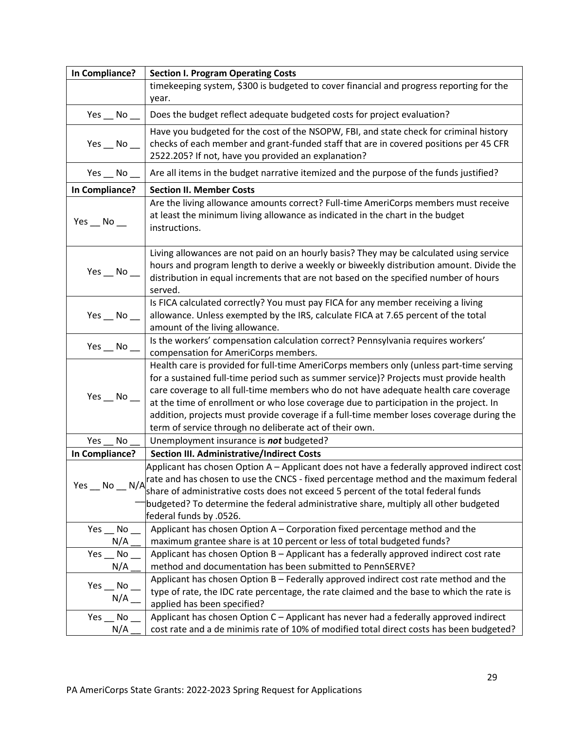| In Compliance?      | <b>Section I. Program Operating Costs</b>                                                                                                                                             |
|---------------------|---------------------------------------------------------------------------------------------------------------------------------------------------------------------------------------|
|                     | timekeeping system, \$300 is budgeted to cover financial and progress reporting for the                                                                                               |
|                     | year.                                                                                                                                                                                 |
| Yes $\_\,$ No $\_\$ | Does the budget reflect adequate budgeted costs for project evaluation?                                                                                                               |
|                     | Have you budgeted for the cost of the NSOPW, FBI, and state check for criminal history                                                                                                |
| Yes $\_\,$ No $\_\$ | checks of each member and grant-funded staff that are in covered positions per 45 CFR                                                                                                 |
|                     | 2522.205? If not, have you provided an explanation?                                                                                                                                   |
| Yes $\_\,$ No $\_\$ | Are all items in the budget narrative itemized and the purpose of the funds justified?                                                                                                |
| In Compliance?      | <b>Section II. Member Costs</b>                                                                                                                                                       |
| Yes $\_\,$ No $\_\$ | Are the living allowance amounts correct? Full-time AmeriCorps members must receive<br>at least the minimum living allowance as indicated in the chart in the budget<br>instructions. |
|                     | Living allowances are not paid on an hourly basis? They may be calculated using service                                                                                               |
| $Yes$ No $\_\$      | hours and program length to derive a weekly or biweekly distribution amount. Divide the                                                                                               |
|                     | distribution in equal increments that are not based on the specified number of hours                                                                                                  |
|                     | served.                                                                                                                                                                               |
|                     | Is FICA calculated correctly? You must pay FICA for any member receiving a living                                                                                                     |
| $Yes$ No $\_\$      | allowance. Unless exempted by the IRS, calculate FICA at 7.65 percent of the total                                                                                                    |
|                     | amount of the living allowance.                                                                                                                                                       |
| $Yes$ No $\_\_$     | Is the workers' compensation calculation correct? Pennsylvania requires workers'<br>compensation for AmeriCorps members.                                                              |
|                     | Health care is provided for full-time AmeriCorps members only (unless part-time serving                                                                                               |
|                     | for a sustained full-time period such as summer service)? Projects must provide health                                                                                                |
|                     | care coverage to all full-time members who do not have adequate health care coverage                                                                                                  |
| $Yes$ No $\_\_$     | at the time of enrollment or who lose coverage due to participation in the project. In                                                                                                |
|                     | addition, projects must provide coverage if a full-time member loses coverage during the                                                                                              |
|                     | term of service through no deliberate act of their own.                                                                                                                               |
| No<br>Yes           | Unemployment insurance is not budgeted?                                                                                                                                               |
| In Compliance?      | Section III. Administrative/Indirect Costs                                                                                                                                            |
|                     | Applicant has chosen Option A – Applicant does not have a federally approved indirect cost                                                                                            |
|                     | Yes $\_\,$ No $\_\,$ N/A $\_\,$ hate and has chosen to use the CNCS - fixed percentage method and the maximum federal                                                                 |
|                     | share of administrative costs does not exceed 5 percent of the total federal funds                                                                                                    |
|                     | budgeted? To determine the federal administrative share, multiply all other budgeted                                                                                                  |
|                     | federal funds by .0526.                                                                                                                                                               |
| Yes No              | Applicant has chosen Option A - Corporation fixed percentage method and the                                                                                                           |
| N/A                 | maximum grantee share is at 10 percent or less of total budgeted funds?                                                                                                               |
| Yes No<br>N/A       | Applicant has chosen Option B - Applicant has a federally approved indirect cost rate<br>method and documentation has been submitted to PennSERVE?                                    |
|                     |                                                                                                                                                                                       |
| Yes __ No           | Applicant has chosen Option B - Federally approved indirect cost rate method and the                                                                                                  |
| N/A                 | type of rate, the IDC rate percentage, the rate claimed and the base to which the rate is<br>applied has been specified?                                                              |
| $Yes$ No            | Applicant has chosen Option C - Applicant has never had a federally approved indirect                                                                                                 |
| N/A                 | cost rate and a de minimis rate of 10% of modified total direct costs has been budgeted?                                                                                              |
|                     |                                                                                                                                                                                       |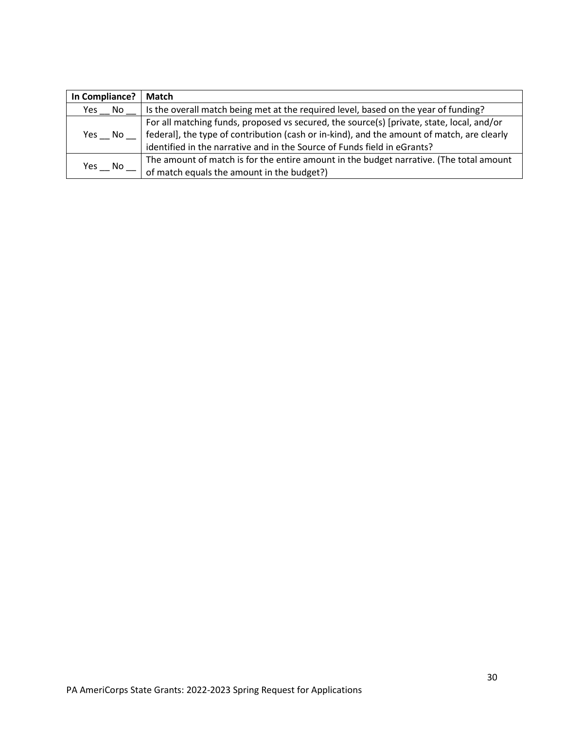<span id="page-29-0"></span>

| In Compliance? | Match                                                                                      |
|----------------|--------------------------------------------------------------------------------------------|
| Yes No         | Is the overall match being met at the required level, based on the year of funding?        |
|                | For all matching funds, proposed vs secured, the source(s) [private, state, local, and/or  |
| Yes No         | federal], the type of contribution (cash or in-kind), and the amount of match, are clearly |
|                | identified in the narrative and in the Source of Funds field in eGrants?                   |
| Yes.<br>No.    | The amount of match is for the entire amount in the budget narrative. (The total amount    |
|                | of match equals the amount in the budget?)                                                 |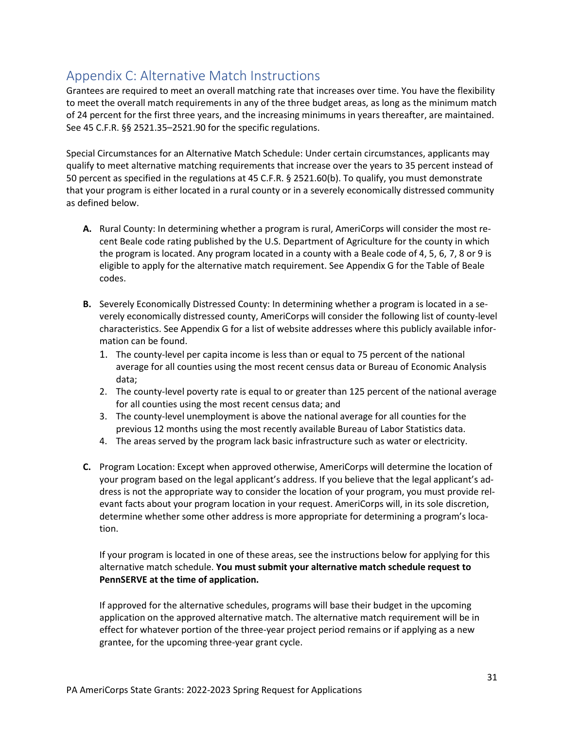# Appendix C: Alternative Match Instructions

Grantees are required to meet an overall matching rate that increases over time. You have the flexibility to meet the overall match requirements in any of the three budget areas, as long as the minimum match of 24 percent for the first three years, and the increasing minimums in years thereafter, are maintained. See 45 C.F.R. §§ 2521.35–2521.90 for the specific regulations.

Special Circumstances for an Alternative Match Schedule: Under certain circumstances, applicants may qualify to meet alternative matching requirements that increase over the years to 35 percent instead of 50 percent as specified in the regulations at 45 C.F.R. § 2521.60(b). To qualify, you must demonstrate that your program is either located in a rural county or in a severely economically distressed community as defined below.

- **A.** Rural County: In determining whether a program is rural, AmeriCorps will consider the most recent Beale code rating published by the U.S. Department of Agriculture for the county in which the program is located. Any program located in a county with a Beale code of 4, 5, 6, 7, 8 or 9 is eligible to apply for the alternative match requirement. See Appendix G for the Table of Beale codes.
- **B.** Severely Economically Distressed County: In determining whether a program is located in a severely economically distressed county, AmeriCorps will consider the following list of county-level characteristics. See Appendix G for a list of website addresses where this publicly available information can be found.
	- 1. The county-level per capita income is less than or equal to 75 percent of the national average for all counties using the most recent census data or Bureau of Economic Analysis data;
	- 2. The county-level poverty rate is equal to or greater than 125 percent of the national average for all counties using the most recent census data; and
	- 3. The county-level unemployment is above the national average for all counties for the previous 12 months using the most recently available Bureau of Labor Statistics data.
	- 4. The areas served by the program lack basic infrastructure such as water or electricity.
- **C.** Program Location: Except when approved otherwise, AmeriCorps will determine the location of your program based on the legal applicant's address. If you believe that the legal applicant's address is not the appropriate way to consider the location of your program, you must provide relevant facts about your program location in your request. AmeriCorps will, in its sole discretion, determine whether some other address is more appropriate for determining a program's location.

If your program is located in one of these areas, see the instructions below for applying for this alternative match schedule. **You must submit your alternative match schedule request to PennSERVE at the time of application.**

If approved for the alternative schedules, programs will base their budget in the upcoming application on the approved alternative match. The alternative match requirement will be in effect for whatever portion of the three-year project period remains or if applying as a new grantee, for the upcoming three-year grant cycle.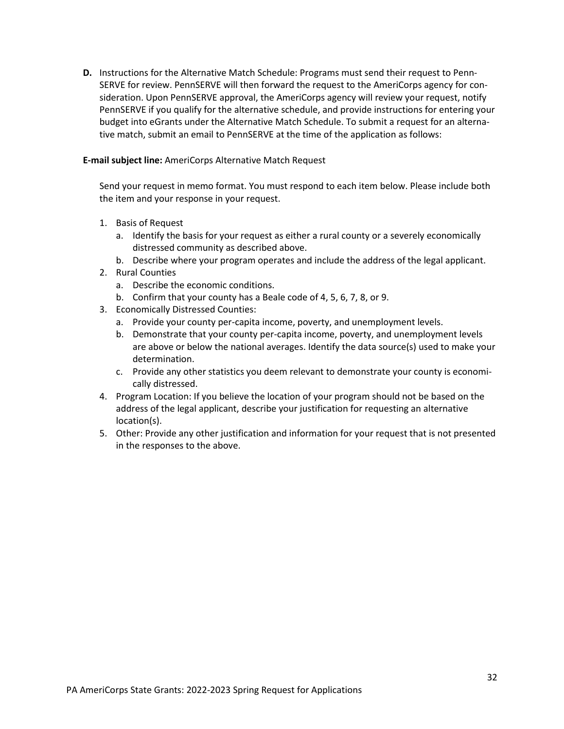**D.** Instructions for the Alternative Match Schedule: Programs must send their request to Penn-SERVE for review. PennSERVE will then forward the request to the AmeriCorps agency for consideration. Upon PennSERVE approval, the AmeriCorps agency will review your request, notify PennSERVE if you qualify for the alternative schedule, and provide instructions for entering your budget into eGrants under the Alternative Match Schedule. To submit a request for an alternative match, submit an email to PennSERVE at the time of the application as follows:

#### **E-mail subject line:** AmeriCorps Alternative Match Request

Send your request in memo format. You must respond to each item below. Please include both the item and your response in your request.

- 1. Basis of Request
	- a. Identify the basis for your request as either a rural county or a severely economically distressed community as described above.
	- b. Describe where your program operates and include the address of the legal applicant.
- 2. Rural Counties
	- a. Describe the economic conditions.
	- b. Confirm that your county has a Beale code of 4, 5, 6, 7, 8, or 9.
- 3. Economically Distressed Counties:
	- a. Provide your county per-capita income, poverty, and unemployment levels.
	- b. Demonstrate that your county per-capita income, poverty, and unemployment levels are above or below the national averages. Identify the data source(s) used to make your determination.
	- c. Provide any other statistics you deem relevant to demonstrate your county is economically distressed.
- 4. Program Location: If you believe the location of your program should not be based on the address of the legal applicant, describe your justification for requesting an alternative location(s).
- <span id="page-31-0"></span>5. Other: Provide any other justification and information for your request that is not presented in the responses to the above.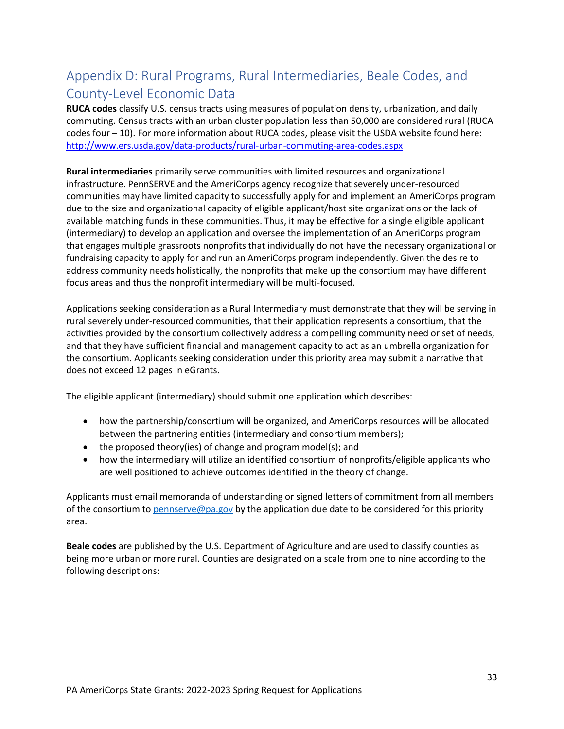# Appendix D: Rural Programs, Rural Intermediaries, Beale Codes, and County-Level Economic Data

**RUCA codes** classify U.S. census tracts using measures of population density, urbanization, and daily commuting. Census tracts with an urban cluster population less than 50,000 are considered rural (RUCA codes four – 10). For more information about RUCA codes, please visit the USDA website found here: <http://www.ers.usda.gov/data-products/rural-urban-commuting-area-codes.aspx>

**Rural intermediaries** primarily serve communities with limited resources and organizational infrastructure. PennSERVE and the AmeriCorps agency recognize that severely under-resourced communities may have limited capacity to successfully apply for and implement an AmeriCorps program due to the size and organizational capacity of eligible applicant/host site organizations or the lack of available matching funds in these communities. Thus, it may be effective for a single eligible applicant (intermediary) to develop an application and oversee the implementation of an AmeriCorps program that engages multiple grassroots nonprofits that individually do not have the necessary organizational or fundraising capacity to apply for and run an AmeriCorps program independently. Given the desire to address community needs holistically, the nonprofits that make up the consortium may have different focus areas and thus the nonprofit intermediary will be multi-focused.

Applications seeking consideration as a Rural Intermediary must demonstrate that they will be serving in rural severely under-resourced communities, that their application represents a consortium, that the activities provided by the consortium collectively address a compelling community need or set of needs, and that they have sufficient financial and management capacity to act as an umbrella organization for the consortium. Applicants seeking consideration under this priority area may submit a narrative that does not exceed 12 pages in eGrants.

The eligible applicant (intermediary) should submit one application which describes:

- how the partnership/consortium will be organized, and AmeriCorps resources will be allocated between the partnering entities (intermediary and consortium members);
- the proposed theory(ies) of change and program model(s); and
- how the intermediary will utilize an identified consortium of nonprofits/eligible applicants who are well positioned to achieve outcomes identified in the theory of change.

Applicants must email memoranda of understanding or signed letters of commitment from all members of the consortium t[o pennserve@pa.gov](mailto:pennserve@pa.gov) by the application due date to be considered for this priority area.

**Beale codes** are published by the U.S. Department of Agriculture and are used to classify counties as being more urban or more rural. Counties are designated on a scale from one to nine according to the following descriptions: